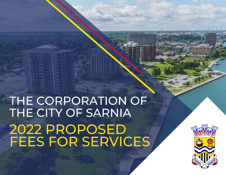# THE CORPORATION OF THE CITY OF SARNIA 2022 PROPOSED<br>FEES FOR SERVICES

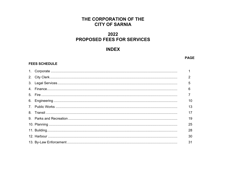#### THE CORPORATION OF THE **CITY OF SARNIA**

### 2022 **PROPOSED FEES FOR SERVICES**

#### **INDEX**

#### **PAGE**

#### **FEES SCHEDULE**

|  | $\overline{2}$ |
|--|----------------|
|  | 5              |
|  | 6              |
|  |                |
|  | 10             |
|  | 13             |
|  | 17             |
|  | 19             |
|  | 25             |
|  | 28             |
|  | 30             |
|  | 31             |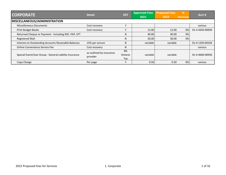| <b>CORPORATE</b>                                       | <b>HST</b><br><b>Detail</b>          |                      | <b>Approved Fees</b> | <b>Proposed Fees</b> | %               | Acct#           |
|--------------------------------------------------------|--------------------------------------|----------------------|----------------------|----------------------|-----------------|-----------------|
|                                                        |                                      |                      | 2021                 | 2022                 | <b>Increase</b> |                 |
| <b>MISCELLANEOUS/ADMINISTRATION</b>                    |                                      |                      |                      |                      |                 |                 |
| <b>Miscellaneous Documents</b>                         | Cost recovery                        | $\mathbf v$          |                      |                      |                 | various         |
| <b>Print Budget Books</b>                              | Cost recovery                        | $\checkmark$         | 12.00                | 12.00                | 0%              | 01-4-2020-00930 |
| Returned Cheque or Payment - Including NSF, PAP, EFT   |                                      | N                    | 40.00                | 40.00                | 0%              |                 |
| <b>Registered Mail</b>                                 |                                      | N                    | 30.00                | 30.00                | 0%              |                 |
| Interest on Outstanding Accounts Receivable Balances   | 15% per annum                        | N                    | variable             | variable             |                 | 01-4-1350-00104 |
| Online Convenience Service Fee                         | Cost recovery                        | N                    |                      |                      |                 | various         |
| Special Event/User Group - General Liability Insurance | as outlined by insurance<br>provider | 8%<br>Ontario<br>Tax | variable             | variable             |                 | 01-4-4600-00930 |
| Copy Charge                                            | Per page                             | $\checkmark$         | 0.50                 | 0.50                 | 0%              | various         |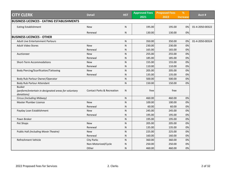| <b>CITY CLERK</b>                                                  | <b>Detail</b>                         | <b>HST</b> | <b>Approved Fees</b> | <b>Proposed Fees</b> | %               | Acct #          |
|--------------------------------------------------------------------|---------------------------------------|------------|----------------------|----------------------|-----------------|-----------------|
|                                                                    |                                       |            | 2021                 | 2022                 | <b>Increase</b> |                 |
| <b>BUSINESS LICENCES - EATING ESTABLISHMENTS</b>                   |                                       |            |                      |                      |                 |                 |
| <b>Eating Establishment</b>                                        | <b>New</b>                            | N.         | 195.00               | 195.00               | 0%              | 01-4-2050-00322 |
|                                                                    | Renewal                               | N          | 130.00               | 130.00               | 0%              |                 |
| <b>BUSINESS LICENCES - OTHER</b>                                   |                                       |            |                      |                      |                 |                 |
| <b>Adult Live Entertainment Parlours</b>                           |                                       | N          | 350.00               | 350.00               | 0%              | 01-4-2050-00324 |
| <b>Adult Video Stores</b>                                          | <b>New</b>                            | N          | 230.00               | 230.00               | 0%              |                 |
|                                                                    | Renewal                               | N          | 165.00               | 165.00               | 0%              |                 |
| Auctioneer                                                         | <b>New</b>                            | N          | 255.00               | 255.00               | 0%              |                 |
|                                                                    | Renewal                               | N          | 185.00               | 185.00               | 0%              |                 |
| Short-Term Accommodations                                          | <b>New</b>                            | ${\sf N}$  | 155.00               | 155.00               | 0%              |                 |
|                                                                    | Renewal                               | N          | 110.00               | 110.00               | 0%              |                 |
| Body Piercing/Scarification/Tattooing                              | <b>New</b>                            | N          | 205.00               | 205.00               | 0%              |                 |
|                                                                    | Renewal                               | N          | 135.00               | 135.00               | 0%              |                 |
| Body Rub Parlour Owner/Operator                                    |                                       | ${\sf N}$  | 500.00               | 500.00               | 0%              |                 |
| Body Rub Parlour Attendant                                         |                                       | N          | 150.00               | 150.00               | 0%              |                 |
| <b>Busker</b>                                                      |                                       |            |                      |                      |                 |                 |
| (perform/entertain in designated areas for voluntary<br>donations) | <b>Contact Parks &amp; Recreation</b> | N          | free                 | free                 |                 |                 |
| Circus (including Midway)                                          |                                       | ${\sf N}$  | 460.00               | 460.00               | 0%              |                 |
| Master Plumber Licence                                             | <b>New</b>                            | N          | 100.00               | 100.00               | 0%              |                 |
|                                                                    | Renewal                               | N          | 60.00                | 60.00                | 0%              |                 |
| Payday Loan Establishment                                          | <b>New</b>                            | N          | 245.00               | 245.00               | 0%              |                 |
|                                                                    | Renewal                               | N          | 195.00               | 195.00               | 0%              |                 |
| Pawn Broker                                                        |                                       | N          | 195.00               | 195.00               | 0%              |                 |
| Pet Shops                                                          | <b>New</b>                            | ${\sf N}$  | 205.00               | 205.00               | 0%              |                 |
|                                                                    | Renewal                               | N          | 135.00               | 135.00               | 0%              |                 |
| Public Hall (including Movie Theatre)                              | <b>New</b>                            | N          | 225.00               | 225.00               | 0%              |                 |
|                                                                    | Renewal                               | N          | 160.00               | 160.00               | 0%              |                 |
| Refreshment Vehicle                                                | <b>City Parks</b>                     | N          | 360.00               | 360.00               | 0%              |                 |
|                                                                    | Non-Motorized/Cycle                   | Ν          | 250.00               | 250.00               | 0%              |                 |
|                                                                    | Other                                 | N          | 460.00               | 460.00               | 0%              |                 |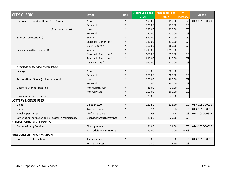|                                                         | <b>Detail</b>             | <b>HST</b> | <b>Approved Fees</b> | <b>Proposed Fees</b> | %               | Acct#           |
|---------------------------------------------------------|---------------------------|------------|----------------------|----------------------|-----------------|-----------------|
| <b>CITY CLERK</b>                                       |                           |            | 2021                 | 2022                 | <b>Increase</b> |                 |
| Rooming or Boarding House (3 to 6 rooms)                | <b>New</b>                | N          | 195.00               | 195.00               | 0%              | 01-4-2050-00324 |
|                                                         | Renewal                   | N          | 130.00               | 130.00               | 0%              |                 |
| (7 or more rooms)                                       | <b>New</b>                | N          | 235.00               | 235.00               | 0%              |                 |
|                                                         | Renewal                   | N          | 170.00               | 170.00               | 0%              |                 |
| Salesperson (Resident)                                  | Yearly                    | ${\sf N}$  | 510.00               | 510.00               | 0%              |                 |
|                                                         | Seasonal - 3 months *     | N          | 310.00               | 310.00               | 0%              |                 |
|                                                         | Daily - 3 days *          | ${\sf N}$  | 160.00               | 160.00               | 0%              |                 |
| Salesperson (Non-Resident)                              | Yearly                    | ${\sf N}$  | 1,210.00             | 1,210.00             | 0%              |                 |
|                                                         | Seasonal - 2 months *     | N          | 550.00               | 550.00               | 0%              |                 |
|                                                         | Seasonal - 3 months *     | ${\sf N}$  | 810.00               | 810.00               | 0%              |                 |
|                                                         | Daily - 3 days *          | N          | 510.00               | 510.00               | 0%              |                 |
| * must be consecutive months/days                       |                           |            |                      |                      |                 |                 |
| Salvage                                                 | <b>New</b>                | N          | 200.00               | 200.00               | 0%              |                 |
|                                                         | Renewal                   | ${\sf N}$  | 200.00               | 200.00               | 0%              |                 |
| Second-Hand Goods (incl. scrap metal)                   | <b>New</b>                | N          | 200.00               | 200.00               | 0%              |                 |
|                                                         | Renewal                   | N          | 200.00               | 200.00               | 0%              |                 |
| <b>Business Licence - Late Fee</b>                      | After March 31st          | N          | 35.00                | 35.00                | 0%              |                 |
|                                                         | After July 1st            | ${\sf N}$  | 100.00               | 100.00               | 0%              |                 |
| <b>Business Licence - Transfer</b>                      |                           | N          | 25.00                | 25.00                | 0%              |                 |
| <b>LOTTERY LICENSE FEES</b>                             |                           |            |                      |                      |                 |                 |
| Bingo                                                   | Up to 165.00              | ${\sf N}$  | 112.50               | 112.50               | 0%              | 01-4-2050-00325 |
| Raffle                                                  | % of prize value          | ${\sf N}$  | 3%                   | 3%                   | 0%              | 01-4-2050-00326 |
| Break-Open Ticket                                       | % of prize value          | ${\sf N}$  | 3%                   | 3%                   | 0%              | 01-4-2050-00327 |
| Letter of Authorization to Sell tickets in Municipality | Licensed through Province | N          | 25.00                | 25.00                | 0%              |                 |
| <b>COMMISSIONING SERVICES</b>                           |                           |            |                      |                      |                 |                 |
| <b>Commissioning Services</b>                           | First signature           |            | 31.00                | 31.00                | 0%              | 01-4-2050-00328 |
|                                                         | Each additional signature |            | 15.00                | 10.00                | $-33%$          |                 |
| <b>FREEDOM OF INFORMATION</b>                           |                           |            |                      |                      |                 |                 |
| Freedom of Information                                  | Application fee           | N          | 5.00                 | 5.00                 | 0%              | 01-4-2050-00329 |
|                                                         | Per 15 minutes            | N          | 7.50                 | 7.50                 | 0%              |                 |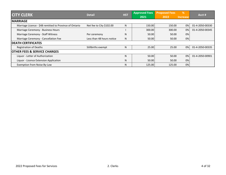|                                                         | <b>HST</b><br><b>Detail</b> |   | <b>Approved Fees</b> | <b>Proposed Fees</b> | %               | Acct#           |
|---------------------------------------------------------|-----------------------------|---|----------------------|----------------------|-----------------|-----------------|
| <b>CITY CLERK</b>                                       |                             |   | 2021                 | 2022                 | <b>Increase</b> |                 |
| <b>MARRIAGE</b>                                         |                             |   |                      |                      |                 |                 |
| Marriage Licence - \$48 remitted to Province of Ontario | Net fee to City \$102.00    | N | 150.00               | 150.00               | 0%              | 01-4-2050-00330 |
| Marriage Ceremony - Business Hours                      |                             |   | 300.00               | 300.00               | 0%              | 01-4-2050-00345 |
| Marriage Ceremony - Staff Witness                       | Per ceremony                | N | 50.00                | 50.00                | 0%              |                 |
| Marriage Ceremony - Cancellation Fee                    | Less than 48 hours notice   | N | 50.00                | 50.00                | 0%              |                 |
| <b>DEATH CERTIFICATES</b>                               |                             |   |                      |                      |                 |                 |
| <b>Registration of Deaths</b>                           | Stillbirths exempt          | N | 25.00                | 25.00                | 0%              | 01-4-2050-00335 |
| <b>OTHER FEES &amp; SERVICE CHARGES</b>                 |                             |   |                      |                      |                 |                 |
| Liquor - Letter of Authorization                        |                             | N | 50.00                | 50.00                | 0%              | 01-4-2050-00901 |
| Liquor - Licence Extension Application                  |                             | N | 50.00                | 50.00                | 0%              |                 |
| Exemption from Noise By-Law                             |                             | N | 125.00               | 125.00               | 0%              |                 |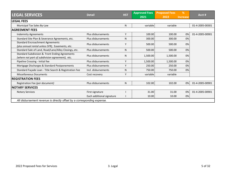| <b>LEGAL SERVICES</b>                                                                             | <b>Detail</b>             | <b>HST</b> | <b>Approved Fees</b> | <b>Proposed Fees</b> | %               | Acct #          |
|---------------------------------------------------------------------------------------------------|---------------------------|------------|----------------------|----------------------|-----------------|-----------------|
|                                                                                                   |                           |            | 2021                 | 2022                 | <b>Increase</b> |                 |
| <b>LEGAL FEES</b>                                                                                 |                           |            |                      |                      |                 |                 |
| Municipal Tax Sales By-Law                                                                        |                           | N          | variable             | variable             |                 | 01-4-2005-00301 |
| <b>AGREEMENT FEES</b>                                                                             |                           |            |                      |                      |                 |                 |
| <b>Indemnity Agreements</b>                                                                       | Plus disbursements        | Y          | 100.00               | 100.00               | 0%              | 01-4-2005-00901 |
| Standard Site Plan & Severance Agreements, etc.                                                   | Plus disbursements        | N          | 300.00               | 300.00               | 0%              |                 |
| <b>Standard Encroachment Agreements</b><br>(plus annual rental unless SFR), Easements, etc.       | Plus disbursements        | Y          | 500.00               | 500.00               | 0%              |                 |
| Standard Sale of Land, Road/Lane/Alley Closings, etc.                                             | Plus disbursements        | N          | 500.00               | 500.00               | 0%              |                 |
| Standard Subdivision & Front Ending Agreements<br>(where not part of subdivision agreement), etc. | Plus disbursements        | N          | 1,500.00             | 1,500.00             | 0%              |                 |
| Pipeline Crossing - Initial fee                                                                   | Plus disbursements        | Y          | 1,500.00             | 1,500.00             | 0%              |                 |
| Mortgage Discharges & Standard Postponements                                                      | Plus disbursements        | Y          | 250.00               | 250.00               | 0%              |                 |
| Standard Façade Loan - Title Search & Registration Fee                                            | Incl. disbursements       | N          | 750.00               | 750.00               | 0%              |                 |
| <b>Miscellaneous Documents</b>                                                                    | Cost recovery             | Y          | variable             | variable             |                 |                 |
| <b>REGISTRATION FEES</b>                                                                          |                           |            |                      |                      |                 |                 |
| Registration Fee (per document)                                                                   | Plus disbursements        | N          | 102.00               | 102.00               | 0%              | 01-4-2005-00901 |
| <b>NOTARY SERVICES</b>                                                                            |                           |            |                      |                      |                 |                 |
| <b>Notary Services</b>                                                                            | First signature           |            | 31.00                | 31.00                | 0%              | 01-4-2005-00901 |
|                                                                                                   | Each additional signature |            | 10.00                | 10.00                | 0%              |                 |
| All disbursement revenue is directly offset by a corresponding expense.                           |                           |            |                      |                      |                 |                 |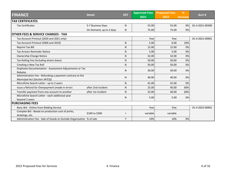| <b>FINANCE</b><br><b>Detail</b>                                      |                         | <b>HST</b> | <b>Approved Fees</b> | <b>Proposed Fees</b> | %               |                 |
|----------------------------------------------------------------------|-------------------------|------------|----------------------|----------------------|-----------------|-----------------|
|                                                                      |                         |            | 2021                 | 2022                 | <b>Increase</b> | Acct #          |
| <b>TAX CERTIFICATES</b>                                              |                         |            |                      |                      |                 |                 |
| <b>Tax Certificates</b>                                              | 5-7 Business Days       | N          | 55.00                | 55.00                | 0%              | 01-4-2021-00300 |
|                                                                      | On Demand, up to 2 days | N          | 75.00                | 75.00                | 0%              |                 |
| <b>OTHER FEES &amp; SERVICE CHARGES - TAX</b>                        |                         |            |                      |                      |                 |                 |
| Tax Account Printout (2020 and 2021 only)                            |                         |            | free                 | free                 |                 | 01-4-2021-00901 |
| Tax Account Printout (2006 and 2019)                                 |                         | ${\sf N}$  | 5.00                 | 6.00                 | 20%             |                 |
| <b>Reprint Tax Bill</b>                                              |                         | ${\sf N}$  | 15.00                | 15.00                | 0%              |                 |
| <b>Tax Arrears Reminder Notice</b>                                   |                         | N          | 5.00                 | 5.00                 | 0%              |                 |
| <b>Ownership Change Notice</b>                                       |                         | N.         | 32.00                | 32.00                | 0%              |                 |
| Tax Rolling Fee (including drains loans)                             |                         | N          | 50.00                | 50.00                | 0%              |                 |
| Creating a New Tax Roll                                              |                         | N.         | 50.00                | 50.00                | 0%              |                 |
| Duplicate Documentation - Assessment Adjustments or Tax              |                         |            |                      |                      |                 |                 |
| Rebates                                                              |                         | N          | 30.00                | 30.00                | 0%              |                 |
| Administration Fee - Refunding a payment contrary to the             |                         | N.         | 40.00                | 40.00                | 0%              |                 |
| Municipal Act (Section 347(3))                                       |                         |            |                      |                      |                 |                 |
| Microfiche Search Letter - up to 2 years                             |                         | N          | 41.00                | 41.00                | 0%              |                 |
| Issue a Refund for Overpayment (made in error)                       | after 2nd incident      | N.         | 25.00                | 40.00                | 60%             |                 |
| Transfer payment from one account to another                         | after 1st incident      | N.         | 25.00                | 40.00                | 60%             |                 |
| Microfiche Search Letter - each additional year                      |                         | N          | 5.00                 | 5.00                 | 0%              |                 |
| beyond 2 years                                                       |                         |            |                      |                      |                 |                 |
| <b>PURCHASING FEES</b>                                               |                         |            |                      |                      |                 |                 |
| Basic Bid - Online from Bidding Service                              |                         |            | free                 | free                 |                 | 01-4-2023-00901 |
| Complex Bid - Based on production cost of prints,                    | \$100 to \$300          |            | variable             | variable             |                 |                 |
| drawings, etc.                                                       |                         |            |                      |                      |                 |                 |
| Administration Fee - Sale of Goods to Outside Organization % of sale |                         | Y          | 10%                  | 10%                  | 0%              |                 |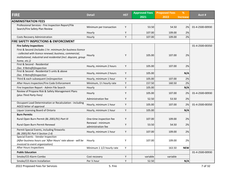| <b>FIRE</b>                                                                         | <b>Detail</b>                           | <b>HST</b> | <b>Approved Fees</b> | <b>Proposed Fees</b> | %               | Acct #          |
|-------------------------------------------------------------------------------------|-----------------------------------------|------------|----------------------|----------------------|-----------------|-----------------|
|                                                                                     |                                         |            | 2021                 | 2022                 | <b>Increase</b> |                 |
| <b>ADMINISTRATION FEES</b>                                                          |                                         |            |                      |                      |                 |                 |
| Professional Services - Fire Inspection Report/File                                 | Minimum per transaction                 | Y          | 53.50                | 54.50                | 2%              | 01-4-2500-00930 |
| Search/Fire Safety Plan Review                                                      |                                         |            |                      |                      |                 |                 |
|                                                                                     | Hourly                                  | Y          | 107.00               | 109.00               | 2%              |                 |
| <b>Costs Recovery Administration</b>                                                | Hourly                                  | Y          | 107.00               | 109.00               | 2%              |                 |
| <b>FIRE SAFETY INSPECTIONS &amp; ENFORCEMENT</b>                                    |                                         |            |                      |                      |                 |                 |
| <b>Fire Safety Inspections</b>                                                      |                                         |            |                      |                      |                 | 01-4-2500-00350 |
| First & Second (includes 1 hr. minimum for business licence                         |                                         |            |                      |                      |                 |                 |
| - collected with licence renewal; business, commercial,                             | Hourly                                  | Y          | 105.00               | 107.00               | 2%              |                 |
| institutional, industrial and residential (incl. daycare, group                     |                                         |            |                      |                      |                 |                 |
| home, etc.))                                                                        |                                         |            |                      |                      |                 |                 |
| First & Second - Residential                                                        | Hourly, minimum 2 hours                 | Υ          | 105.00               | 107.00               | 2%              |                 |
| (Sec. 9 Retrofit)Inspection<br>First & Second - Residential 5 units & above         |                                         |            |                      |                      |                 |                 |
| (Sec. 9 Retrofit)Inspection                                                         | Hourly, minimum 2 hours                 | Y          | 105.00               |                      | N/A             |                 |
| Third & each subsequent (re)inspection                                              | Hourly, minimum 1 hour                  | Υ          | 105.00               | 107.00               | 2%              |                 |
|                                                                                     | Minimum, 11/2 hourly rate               |            |                      |                      |                 |                 |
| After Hours Inspection/Fire Code Enforcement                                        |                                         | Y          | 157.50               | 160.50               | 2%              |                 |
| Fire Inspection Report - Admin File Search                                          | Hourly                                  | Υ          | 105.00               |                      | N/A             |                 |
| Review of Propane Risk & Safety Management Plans                                    | Hourly                                  | Y          | 105.00               | 107.00               | 2%              | 01-4-2500-00930 |
| (plus Third Party Fees)                                                             |                                         |            |                      |                      |                 |                 |
|                                                                                     | Administration fee                      | Y          | 52.50                | 53.50                | 2%              |                 |
| Occupant Load Determination or Recalculation - including<br>AGCO letter of approval | Hourly, minimum 1 hour                  | Y          | 105.00               | 107.00               | 2%              | 01-4-2500-00350 |
| Liquor Licensing Board of Ontario                                                   | Hourly, minimum 1 hour                  | Υ          | 105.00               |                      | N/A             |                 |
| <b>Burn Permits</b>                                                                 |                                         |            |                      |                      |                 |                 |
|                                                                                     |                                         |            |                      |                      |                 |                 |
| Rural Open Burn Permit (BL 2001/91) Part III                                        | One-time inspection fee                 | Y          | 107.00               | 109.00               | 2%              |                 |
| Rural Open Burn Permit Renewal                                                      | Renewal - minimum<br>administration fee | Υ          | 53.50                | 54.50                | 2%              |                 |
| Permit Special Events, including fireworks                                          | Hourly, minimum 1 hour                  | Y          | 107.00               | 109.00               | 2%              |                 |
| (BL 2001/91 Part II Section 2.4)                                                    |                                         |            |                      |                      |                 |                 |
| Special Events - Vendor Inspection                                                  |                                         |            |                      |                      |                 |                 |
| (After business hours use 'After Hours' rate above - will be                        | Hourly                                  | Υ          | 107.00               | 109.00               | 2%              |                 |
| invoiced to event organization)                                                     |                                         |            |                      |                      |                 |                 |
| After Hours Inspections                                                             | Minimum 1 1/2 hourly rate               | Υ          |                      | 163.50               | <b>NEW</b>      |                 |
| <b>Public Education</b>                                                             |                                         |            |                      |                      |                 | 01-4-2500-00930 |
| Smoke/CO Alarm Combo                                                                | Cost recovery                           | Υ          | variable             | variable             |                 |                 |
| Smoke/CO Alarm Installation                                                         | Per 1/2 hour                            | Υ          | 52.50                |                      | N/A             |                 |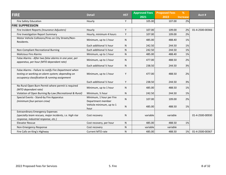| <b>FIRE</b>                                                                                                                                                | <b>Detail</b>                                 | <b>HST</b> | <b>Approved Fees</b> | <b>Proposed Fees</b> | %               | Acct#           |
|------------------------------------------------------------------------------------------------------------------------------------------------------------|-----------------------------------------------|------------|----------------------|----------------------|-----------------|-----------------|
|                                                                                                                                                            |                                               |            | 2021                 | 2022                 | <b>Increase</b> |                 |
| <b>Fire Safety Education</b>                                                                                                                               | Hourly                                        | Y          | 105.00               | 107.00               | 2%              |                 |
| <b>FIRE SUPPRESSION</b>                                                                                                                                    |                                               |            |                      |                      |                 |                 |
| Fire Incident Reports (Insurance Adjusters)                                                                                                                | Hourly                                        | Υ          | 107.00               | 109.00               | 2%              | 01-4-2500-00366 |
| Fire Investigation Report Summary                                                                                                                          | Hourly, minimum 4 hours                       | Y          | 107.00               | 109.00               | 2%              |                 |
| Motor Vehicle Collisions/Fires on City Streets/Non-<br>Residents.                                                                                          | Minimum, up to 1 hour                         | N          | 485.00               | 488.40               | 1%              |                 |
|                                                                                                                                                            | Each additional 1/2 hour                      | N          | 242.50               | 244.50               | 1%              |                 |
| Non-Compliant Recreational Burning                                                                                                                         | Each additional 1/2 hour                      | N.         | 242.50               | 244.50               | 1%              |                 |
| <b>Malicious Fire Alarms</b>                                                                                                                               | Minimum, up to 1 hour                         | N          | 485.00               | 488.40               | 1%              |                 |
| False Alarms - After two false alarms in one year, per<br>apparatus, per hour (MTO dependant rate)                                                         | Minimum, up to 1 hour                         | N          | 477.00               | 488.50               | 2%              |                 |
|                                                                                                                                                            | Each additional 1/2 hour                      | N          | 238.50               | 244.50               | 3%              |                 |
| False Alarms - Failure to notify Fire Department when<br>testing or working on alarm system; depending on<br>occupancy classification & running assignment | Minimum, up to 1 hour                         | Υ          | 477.00               | 488.50               | 2%              |                 |
|                                                                                                                                                            | Each additional 1/2 hour                      | Y          | 238.50               | 244.50               | 3%              |                 |
| No Rural Open Burn Permit where permit is required<br>(MTO dependant rate)                                                                                 | Minimum, up to 1 hour                         | N          | 485.00               | 488.50               | 1%              |                 |
| Violation of Open Burning By-Law (Recreational & Rural)                                                                                                    | Minimum, 1/2 hour                             | N          | 242.50               | 244.50               | 1%              |                 |
| Special Events - Stand-by Fire Apparatus<br>(minimum four-person crew)                                                                                     | Minimum, 1 hour per Fire<br>Department member | N          | 107.00               | 109.00               | 2%              |                 |
|                                                                                                                                                            | Vehicle minimum, up to 1<br>hour              | N          | 485.00               | 488.50               | 1%              |                 |
| <b>Extraordinary Emergency Expenses</b><br>(specialty team rescues, major incidents, i.e. high rise<br>response, industrial response, etc.)                | Cost recovery                                 | N          | variable             | variable             |                 | 01-4-2500-00930 |
| <b>Elevator Rescue</b>                                                                                                                                     | Cost recovery, per hour                       | N          | 485.00               | 488.50               | 1%              |                 |
| Non-Emergency Response                                                                                                                                     | Cost recovery                                 | N          | variable             | variable             |                 |                 |
| Fire Calls on King's Highway                                                                                                                               | <b>Current MTO rate</b>                       | N          | 485.00               | 488.50               | 1%              | 01-4-2500-00367 |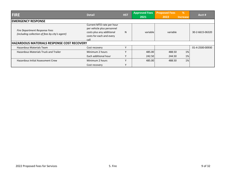| <b>FIRE</b>                                                                     | <b>HST</b><br><b>Detail</b>                                                                                              |              | <b>Approved Fees</b> | <b>Proposed Fees</b> | %               | Acct #          |
|---------------------------------------------------------------------------------|--------------------------------------------------------------------------------------------------------------------------|--------------|----------------------|----------------------|-----------------|-----------------|
|                                                                                 |                                                                                                                          |              | 2021                 | 2022                 | <b>Increase</b> |                 |
| <b>EMERGENCY RESPONSE</b>                                                       |                                                                                                                          |              |                      |                      |                 |                 |
| Fire Department Response Fees<br>(including collection of fees by city's agent) | Current MTO rate per hour<br>per vehicle plus personnel<br>costs plus any additional<br>costs for each and every<br>call | N            | variable             | variable             |                 | 30-2-6615-06320 |
| <b>HAZARDOUS MATERIALS RESPONSE COST RECOVERY</b>                               |                                                                                                                          |              |                      |                      |                 |                 |
| Hazardous Materials Team                                                        | Cost recovery                                                                                                            | v            |                      |                      |                 | 01-4-2500-00930 |
| <b>Hazardous Materials Truck and Trailer</b>                                    | Minimum 2 hours                                                                                                          | $\checkmark$ | 485.00               | 488.50               | 1%              |                 |
|                                                                                 | Each additional hour                                                                                                     | ٧            | 242.50               | 244.50               | 1%              |                 |
| <b>Hazardous Initial Assessment Crew</b>                                        | Minimum 2 hours                                                                                                          | ٧            | 485.00               | 488.50               | 1%              |                 |
|                                                                                 | Cost recovery                                                                                                            | Y            |                      |                      |                 |                 |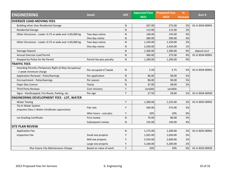| <b>ENGINEERING</b>                                      | <b>Detail</b>            | <b>HST</b>   | <b>Approved Fees</b> | <b>Proposed Fees</b> | %               | Acct #          |
|---------------------------------------------------------|--------------------------|--------------|----------------------|----------------------|-----------------|-----------------|
|                                                         |                          |              | $\overline{2021}$    | 2022                 | <b>Increase</b> |                 |
| <b>OVERSIZE LOAD-MOVING FEES</b>                        |                          |              |                      |                      |                 |                 |
| Building other than Residential Garage                  |                          | ${\sf N}$    | 267.00               | 275.00               | 3%              | 01-4-3034-00901 |
| <b>Residential Garage</b>                               |                          | ${\sf N}$    | 113.00               | 115.00               | 2%              |                 |
| Other Structures - Loads <3.75 m wide and <120,000 kg   | Two days notice          | ${\sf N}$    | 140.00               | 145.00               | 4%              |                 |
|                                                         | One day notice           | ${\sf N}$    | 280.00               | 290.00               | 4%              |                 |
| Other Structures - Loads > 3.75 m wide and > 120,000 kg | Two days notice          | N            | 1,230.00             | 1,250.00             | 2%              |                 |
|                                                         | One day notice           | N            | 2,430.00             | 2,450.00             | 1%              |                 |
| Damage Deposit                                          |                          | ${\sf N}$    | 1,300.00             | 1,300.00             | 0%              | deposit acct    |
| Annual Oversize Load Permit                             |                          | ${\sf N}$    | 360.00               | 375.00               | 4%              | 01-4-3034-00901 |
| Stopped by Police for No Permit                         | Permit fee plus penalty  | ${\sf N}$    | 1,200.00             | 1,200.00             | 0%              |                 |
| <b>TRAFFIC FEES</b>                                     |                          |              |                      |                      |                 |                 |
| Hoarding Permits (Temporary Right of Way Occupancy)     |                          | N            | 5.50                 | 5.75                 | 5%              | 01-4-3034-00901 |
| - 1 week minimum charge                                 | Per occupied $m^2$ /week |              |                      |                      |                 |                 |
| Application Renewal - Patio/Awnings                     | Per application          | $\mathsf{N}$ | 86.00                | 90.00                | 5%              |                 |
| Encroachment - Patio/Awnings                            | Per season               | N            | 86.00                | 90.00                | 5%              |                 |
| Paper Box Licence                                       | Yearly                   | N            | 47.00                | 48.00                | 2%              |                 |
| Third Party Reviews                                     | Cost recovery            | Υ            | variable             | variable             |                 |                 |
| Signs - Handicapped, Fire Route, Parking, etc.          | Per sign                 | Υ            | 27.50                | 28.00                | 2%              | 01-4-3034-00930 |
| <b>ENGINEERING DEVELOPMENT FEES - LOT, WATER</b>        |                          |              |                      |                      |                 |                 |
| <b>Water Testing</b>                                    |                          | Y            | 1,300.00             | 1,325.00             | 2%              | 01-4-3035-00901 |
| Tie-In Water System                                     | Flat rate                | Υ            | 560.00               | 575.00               | 3%              |                 |
| (requires Class 1 Water Certificate supervision)        |                          |              |                      |                      |                 |                 |
|                                                         | After hours - cost plus  | Y            | 10%                  | 10%                  | 0%              |                 |
| Lot Grading Certificate                                 | First review             | ${\sf N}$    | 76.00                | 80.00                | 5%              |                 |
|                                                         | Subsequent review        | N            | 135.00               | 140.00               | 4%              |                 |
| <b>SITE PLAN REVIEW</b>                                 |                          |              |                      |                      |                 |                 |
| <b>Application Fee</b>                                  |                          | N            | 1,175.00             | 1,200.00             | 2%              | 01-4-3035-00901 |
| <b>Inspection Fee</b>                                   | Small size projects      | Υ            | 1,025.00             | 1,050.00             | 2%              |                 |
|                                                         | Mid size projects        | Υ            | 2,550.00             | 2,600.00             | 2%              |                 |
|                                                         | Large size projects      | Υ            | 5,100.00             | 5,200.00             | 2%              |                 |
| Plus Future City Maintenance Charge                     | Based on value of work   | Y            | 10%                  | 10%                  | 0%              | 01-4-3010-00930 |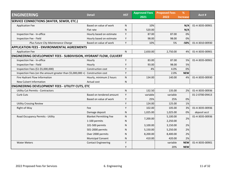| <b>ENGINEERING</b><br><b>HST</b><br><b>Detail</b>                            | <b>Approved Fees</b>          | <b>Proposed Fees</b> | %        | Acct #   |                 |                 |
|------------------------------------------------------------------------------|-------------------------------|----------------------|----------|----------|-----------------|-----------------|
|                                                                              |                               |                      | 2021     | 2022     | <b>Increase</b> |                 |
| <b>SERVICE CONNECTIONS (WATER, SEWER, ETC.)</b>                              |                               |                      |          |          |                 |                 |
| <b>Application Fee</b>                                                       | Based on value of work        | $\mathsf{N}$         | 10%      |          | N/A             | 01-4-3035-00901 |
|                                                                              | Flat rate                     | ${\sf N}$            | 520.00   |          | N/A             |                 |
| Inspection Fee - In-office                                                   | Hourly based on estimate      | Y                    | 87.00    | 87.00    | 0%              |                 |
| Inspection Fee - Field                                                       | Hourly based on estimate      | Y                    | 98.00    | 98.00    | 0%              |                 |
| Plus Future City Maintenance Charge                                          | Based on value of work        | Y                    | 10%      | 5%       | $-50%$          | 01-4-3010-00930 |
| <b>APPLICATION FEES - ENVIRONMENTAL AGREEMENTS</b>                           |                               |                      |          |          |                 |                 |
| <b>Application Fee</b>                                                       |                               | $\mathsf{N}$         | 2,650.00 | 2,750.00 | 4%              | 01-4-3035-00901 |
| <b>ENGINEERING DEVELOPMENT FEES - SUBDIVISION, HYDRANT FLOW, CULVERT</b>     |                               |                      |          |          |                 |                 |
| Inspection Fee - In-office                                                   | Hourly                        | Y                    | 83.00    | 87.00    | 5%              | 01-4-3035-00901 |
| Inspection Fee - Field                                                       | Hourly                        | Υ                    | 93.00    | 98.00    | 5%              |                 |
| Inspection Fees (\$1-\$5,000,000)                                            | Construction cost             | Y                    | 4%       | 4.0%     | 0%              |                 |
| Inspection Fees (on the amount greater than \$5,000,000 +) Construction cost |                               | Y                    |          | 2.0%     | <b>NEW</b>      |                 |
| Fire Hydrant Flow Information                                                | Hourly, minimum 2 hours       | ${\sf N}$            | 134.00   | 140.00   | 4%              | 01-4-3035-00930 |
| New Culvert Information                                                      | Actual cost                   | $\mathsf{N}$         |          |          |                 |                 |
| <b>ENGINEERING DEVELOPMENT FEES - UTILITY CUTS, ETC</b>                      |                               |                      |          |          |                 |                 |
| <b>Utility Cut Permits - Contractors</b>                                     |                               | $\mathsf{N}$         | 132.50   | 135.00   | 2%              | 01-4-3035-00936 |
| Curb Cuts                                                                    | Based on tendered amount      | Y                    | variable | variable |                 | 01-2-0700-09413 |
|                                                                              | Based on value of work        | Y                    | 25%      | 25%      | 0%              |                 |
| <b>Utility Crossing Review</b>                                               |                               | Υ                    | 124.00   | 125.00   | 1%              |                 |
| Right-of-Way                                                                 | Fee                           | Υ                    | 102.00   | 105.00   | 3%              | 01-4-3035-00936 |
|                                                                              | Damage deposit                | N                    | 1,025.00 | 1,025.00 | 0%              | deposit acct    |
| Road Occupancy Permits - Utility                                             | <b>Blanket Permitting Fee</b> | N                    | 7,200.00 | 5,100.00 | 2%              | 01-4-3035-00936 |
|                                                                              | 1-100 permits                 | N                    |          | 2,250.00 |                 |                 |
|                                                                              | 101-500 permits               | N                    | 3,100.00 | 3,150.00 | 2%              |                 |
|                                                                              | 501-2000 permits              | N                    | 5,150.00 | 5,250.00 | 2%              |                 |
|                                                                              | Over 2000 permits             | N                    | 8,200.00 | 8,400.00 | 2%              |                 |
|                                                                              | <b>Municipal Consent</b>      | N                    | 410.00   | 420.00   | 2%              |                 |
| <b>Water Meters</b>                                                          | <b>Contact Engineering</b>    | Y                    |          | variable | <b>NEW</b>      | 01-4-3035-00901 |
|                                                                              |                               | Υ                    |          | 20%      | <b>NEW</b>      |                 |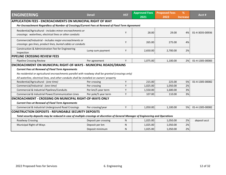| <b>ENGINEERING</b>                                                                                                                  | <b>Detail</b>        | <b>HST</b> | <b>Approved Fees</b><br>2021 | <b>Proposed Fees</b><br>2022 | %<br><b>Increase</b> | Acct #          |  |  |
|-------------------------------------------------------------------------------------------------------------------------------------|----------------------|------------|------------------------------|------------------------------|----------------------|-----------------|--|--|
| <b>APPLICATION FEES - ENCROACHMENTS ON MUNICIPAL RIGHT OF WAY</b>                                                                   |                      |            |                              |                              |                      |                 |  |  |
| Per Encroachment Regardless of Number of Crossings/Current Fees at Renewal of Fixed Term Agreement                                  |                      |            |                              |                              |                      |                 |  |  |
| Residential/Agricultural - includes minor encroachments or<br>crossings: waterlines, electrical lines or other conduits             |                      | Y          | 28.00                        | 29.00                        | 4%                   | 01-4-3035-00936 |  |  |
| Commercial/Industrial - includes major encroachments or<br>crossings: gas lines, product lines, buried cables or conduits           |                      | Y          | 265.00                       | 275.00                       | 4%                   |                 |  |  |
| Construction & Administration Fee for Engineering<br>Inspection                                                                     | Lump sum payment     | Y          | 2,650.00                     | 2,700.00                     | 2%                   |                 |  |  |
| <b>PIPELINE CROSSING REVIEW FEES</b>                                                                                                |                      |            |                              |                              |                      |                 |  |  |
| <b>Pipeline Crossing Review</b>                                                                                                     | Per agreement        | Y          | 1,075.00                     | 1,100.00                     | 2%                   | 01-4-1305-00083 |  |  |
| <b>ENCROACHMENT ON MUNICIPAL RIGHT-OF-WAYS - MUNICIPAL ROADS/DRAINS</b>                                                             |                      |            |                              |                              |                      |                 |  |  |
| <b>Current Fees at Renewal of Fixed Term Agreements</b>                                                                             |                      |            |                              |                              |                      |                 |  |  |
| No residential or agricultural encroachments parallel with roadway shall be granted (crossings only)                                |                      |            |                              |                              |                      |                 |  |  |
| All waterline, electrical lines, and other conduits shall be installed on owners' property                                          |                      |            |                              |                              |                      |                 |  |  |
| Residential/Agricultural - (one time)                                                                                               | Per crossing         | Y          | 215.00                       | 225.00                       | 5%                   | 01-4-1305-00082 |  |  |
| Commercial/Industrial - (one time)                                                                                                  | Per crossing         | Y          | 1,025.00                     | 1,050.00                     | 2%                   |                 |  |  |
| Commercial & Industrial Pipelines/Conduits                                                                                          | Per km/5 year term   | Y          | 1,550.00                     | 1,600.00                     | 3%                   |                 |  |  |
| Commercial & Industrial Power/Communication Lines                                                                                   | Per pole/5 year term | Y          | 107.00                       | 110.00                       | 3%                   |                 |  |  |
| <b>ENCROACHMENT - CROSSING ON MUNICIPAL RIGHT-OF-WAYS ONLY</b>                                                                      |                      |            |                              |                              |                      |                 |  |  |
| <b>Current Fees at Renewal of Fixed Term Agreements</b>                                                                             |                      |            |                              |                              |                      |                 |  |  |
| Commercial & Industrial Underground Road Crossings                                                                                  | Per crossing/year    | Y          | 1,050.00                     | 1,100.00                     | 5%                   | 01-4-1305-00082 |  |  |
| <b>CONSTRUCTION DEPOSITS - REFUNDABLE SECURITY DEPOSITS</b>                                                                         |                      |            |                              |                              |                      |                 |  |  |
| Total security deposits may be reduced in case of multiple crossings at discretion of General Manager of Engineering and Operations |                      |            |                              |                              |                      |                 |  |  |
| Roadway Crossing                                                                                                                    | Deposit per crossing | N.         | 1,025.00                     | 1,050.00                     | 2%                   | deposit acct    |  |  |
| Municipal Right-of-Ways                                                                                                             | Deposit per km       | N          | 1,025.00                     | 1,050.00                     | 2%                   |                 |  |  |
|                                                                                                                                     | Deposit minimum      | N          | 1,025.00                     | 1,050.00                     | 2%                   |                 |  |  |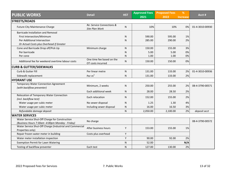| <b>PUBLIC WORKS</b>                                                          | <b>Detail</b>                                  | <b>HST</b> | <b>Approved Fees</b> | <b>Proposed Fees</b> | %               | Acct#           |
|------------------------------------------------------------------------------|------------------------------------------------|------------|----------------------|----------------------|-----------------|-----------------|
|                                                                              |                                                |            | 2021                 | 2022                 | <b>Increase</b> |                 |
| <b>STREETS/ROADS</b>                                                         |                                                |            |                      |                      |                 |                 |
| <b>Future City Maintenance Charge</b>                                        | Re: Service Connections &<br>Site Plan Work    | N          | 10%                  | 10%                  | 0%              | 01-4-3010-00930 |
| <b>Barricade Installation and Removal</b>                                    |                                                |            |                      |                      |                 |                 |
| First Intersection/Minimum                                                   |                                                | N          | 590.00               | 595.00               | 1%              |                 |
| Per Additional Intersection                                                  |                                                | N          | 285.00               | 290.00               | 2%              |                 |
| Or Actual Costs plus Overhead if Greater                                     |                                                |            |                      |                      |                 |                 |
| Cone and Barricade Drop off/Pick Up                                          | Minimum charge                                 | N          | 150.00               | 155.00               | 3%              |                 |
| Per barricade                                                                |                                                | N          | 5.00                 | 5.00                 | 0%              |                 |
| Per cone                                                                     |                                                | N          | 1.00                 | 1.00                 | 0%              |                 |
| Additional fee for weekend overtime labour costs                             | One time fee based on the<br>OT costs incurred | N          | 150.00               | 150.00               | 0%              |                 |
| <b>CURB &amp; GUTTER/SIDEWALKS</b>                                           |                                                |            |                      |                      |                 |                 |
| Curb & Gutter Fill                                                           | Per linear metre                               | N          | 131.00               | 133.00               | 2%              | 01-4-3010-00936 |
| Sidewalk replacement                                                         | Per $m2$                                       | N          | 131.00               | 133.00               | 2%              |                 |
| <b>HYDRANT USE</b>                                                           |                                                |            |                      |                      |                 |                 |
| <b>Temporary Water Connection Agreement</b><br>(with backflow preventer)     | Minimum, 2 weeks                               | N          | 250.00               | 255.00               | 2%              | 08-4-3790-00571 |
|                                                                              | Each additional week                           | N          | 28.00                | 28.50                | 2%              |                 |
| Relocation of Temporary Water Connection<br>(incl. backflow test)            | Each relocation                                | N          | 152.00               | 155.00               | 2%              |                 |
| Water usage per cubic meter                                                  | No sewer disposal                              | N          | 1.25                 | 1.30                 | 4%              |                 |
| Water usage per cubic meter                                                  | Including sewer disposal                       | N          | 16.00                | 16.50                | 3%              |                 |
| Refundable damage deposit                                                    |                                                | N          | 2,050.00             | 2,100.00             | 2%              | deposit acct    |
| <b>WATER SERVICES</b>                                                        |                                                |            |                      |                      |                 |                 |
| Water Service Shut-Off Charge for Construction                               | No charge                                      |            |                      |                      |                 | 08-4-3790-00572 |
| (Business Hours 7:30am -4:00pm Monday - Friday)                              |                                                |            |                      |                      |                 |                 |
| Water Service Shut-Off Charge (Industrial and Commercial<br>Properties only) | After business hours                           | Y          | 153.00               | 155.00               | 1%              |                 |
| Repair frozen water meter in building                                        | Costs plus overhead                            | Y          |                      |                      |                 |                 |
| Water meter installation inspection                                          |                                                | Y          | 90.00                | 92.00                | 2%              |                 |
| <b>Exemption Permit for Lawn Watering</b>                                    |                                                | N          | 52.00                |                      | N/A             |                 |
| Testing of backflow preventer                                                | Each test                                      | N          | 127.00               | 130.00               | 2%              |                 |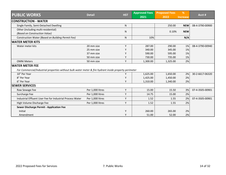| <b>PUBLIC WORKS</b>                                                                                    | <b>Detail</b><br><b>HST</b> | <b>Approved Fees</b> | <b>Proposed Fees</b> | %        |                 |                 |
|--------------------------------------------------------------------------------------------------------|-----------------------------|----------------------|----------------------|----------|-----------------|-----------------|
|                                                                                                        |                             |                      | 2021                 | 2022     | <b>Increase</b> | Acct#           |
| <b>CONSTRUCTION - WATER</b>                                                                            |                             |                      |                      |          |                 |                 |
| Single Family, Semi-Detached Dwelling                                                                  |                             | $\mathsf{N}$         |                      | 250.00   | <b>NEW</b>      | 08-4-3790-00900 |
| Other (including multi-residential)                                                                    |                             | ${\sf N}$            |                      | 0.10%    | <b>NEW</b>      |                 |
| (Based on Construction Value)                                                                          |                             |                      |                      |          |                 |                 |
| Construction Water (Based on Building Permit Fee)                                                      |                             | N                    | 10%                  |          | N/A             |                 |
| <b>WATER METER KITS</b>                                                                                |                             |                      |                      |          |                 |                 |
| Water meter kits                                                                                       | 20 mm size                  | Y                    | 287.00               | 290.00   | 1%              | 08-4-3790-00940 |
|                                                                                                        | 25 mm size                  | Υ                    | 340.00               | 345.00   | 1%              |                 |
|                                                                                                        | 37 mm size                  | Υ                    | 590.00               | 595.00   | 1%              |                 |
|                                                                                                        | 50 mm size                  | Υ                    | 730.00               | 735.00   | 1%              |                 |
| <b>OMNI Meters</b>                                                                                     | 50 mm size                  | Υ                    | 1,300.00             | 1,325.00 | 2%              |                 |
| <b>WATER METER FEE</b>                                                                                 |                             |                      |                      |          |                 |                 |
| For Commercial/Industrial properties without bulk water meter & fire hydrant inside property perimeter |                             |                      |                      |          |                 |                 |
| 10" Per Year                                                                                           |                             | Υ                    | 1,625.00             | 1,650.00 | 2%              | 30-2-6617-06320 |
| 8" Per Year                                                                                            |                             | Υ                    | 1,425.00             | 1,450.00 | 2%              |                 |
| 6" Per Year                                                                                            |                             | Υ                    | 1,310.00             | 1,340.00 | 2%              |                 |
| <b>SEWER SERVICES</b>                                                                                  |                             |                      |                      |          |                 |                 |
| Raw Sewage Fee                                                                                         | Per 1,000 litres            | Y                    | 15.00                | 15.50    | 3%              | 07-4-3505-00901 |
| Surcharge Fee                                                                                          | Per 1,000 litres            | Υ                    | 14.75                | 15.00    | 2%              |                 |
| Industrial Effluent User Fee for Industrial Process Water                                              | Per 1,000 litres            | Υ                    | 1.52                 | 1.55     | 2%              | 07-4-3505-00901 |
| High Volume Discharge Fee                                                                              | Per 1,000 litres            | Υ                    | 1.52                 | 1.55     | 2%              |                 |
| Sewer Discharge Permit - Application Fee                                                               |                             |                      |                      |          |                 |                 |
| Initial                                                                                                |                             | Y                    | 260.00               | 265.00   | 2%              |                 |
| Amendment                                                                                              |                             | Υ                    | 51.00                | 52.00    | 2%              |                 |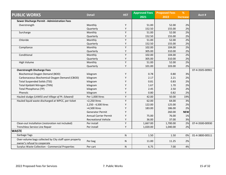|                                                        | <b>Detail</b>                | <b>HST</b> | <b>Approved Fees</b> | <b>Proposed Fees</b> | %               | Acct #          |
|--------------------------------------------------------|------------------------------|------------|----------------------|----------------------|-----------------|-----------------|
| <b>PUBLIC WORKS</b>                                    |                              |            | 2021                 | 2022                 | <b>Increase</b> |                 |
| Sewer Discharge Permit - Administration Fees           |                              |            |                      |                      |                 |                 |
| Overstrength                                           | Monthly                      | Υ          | 51.00                | 52.00                | 2%              |                 |
|                                                        | Quarterly                    | Υ          | 152.50               | 155.00               | 2%              |                 |
| Surcharge                                              | Monthly                      | Y          | 51.00                | 52.00                | 2%              |                 |
|                                                        | Quarterly                    | Υ          | 152.50               | 155.00               | 2%              |                 |
| Chloride                                               | Monthly                      | Υ          | 51.00                | 52.00                | 2%              |                 |
|                                                        | Quarterly                    | Υ          | 152.50               | 155.00               | 2%              |                 |
| Compliance                                             | Monthly                      | Υ          | 102.00               | 104.00               | 2%              |                 |
|                                                        | Quarterly                    | Υ          | 305.00               | 310.00               | 2%              |                 |
| Conditional                                            | Monthly                      | Y          | 102.00               | 104.00               | 2%              |                 |
|                                                        | Quarterly                    | Υ          | 305.00               | 310.00               | 2%              |                 |
| High Volume                                            | Monthly                      | Υ          | 51.00                | 52.00                | 2%              |                 |
|                                                        | Quarterly                    | Υ          | 101.00               | 103.00               | 2%              |                 |
| <b>Overstrength Discharge Fees</b>                     |                              |            |                      |                      |                 | 07-4-3505-00901 |
| Biochemical Oxygen Demand (BOD)                        | kilogram                     | Υ          | 0.78                 | 0.80                 | 3%              |                 |
| Carbonaceous Biochemical Oxygen Demand (CBOD)          | kilogram                     | Y          | 2.17                 | 2.21                 | 2%              |                 |
| <b>Total Suspended Solids (TSS)</b>                    | kilogram                     | Υ          | 0.81                 | 0.83                 | 2%              |                 |
| Total Kjeldahl Nitrogen (TKN)                          | kilogram                     | Υ          | 1.67                 | 1.70                 | 2%              |                 |
| <b>Total Phosphorus (TP)</b>                           | kilogram                     | Y          | 2.45                 | 2.50                 | 2%              |                 |
| Phenols                                                | kilogram                     | Y          | 0.80                 | 0.82                 | 2%              |                 |
| Hauled sludge (LAWSS and Village of Pt. Edward)        | Per 1,000 litres             | Υ          | 42.00                | 50.00                | 19%             |                 |
| Hauled liquid waste discharged at WPCC, per ticket     | <2,250 litres                | Υ          | 62.00                | 64.00                | 3%              |                 |
|                                                        | 2,250 - 4,500 litres         | Y          | 122.00               | 125.00               | 2%              |                 |
|                                                        | >4,500 litres                | Υ          | 183.00               | 186.00               | 2%              |                 |
|                                                        | <b>Generator Permit</b>      | Y          |                      | 260.00               | <b>NEW</b>      |                 |
|                                                        | <b>Annual Carrier Permit</b> | Y          | 75.00                | 76.00                | 1%              |                 |
|                                                        | <b>Recreational Vehicle</b>  | Y          | 36.00                | 37.00                | 3%              |                 |
| Clean-out Installation (restoration not included)      | Per install                  | Y          | 1,667.00             | 1,700.00             | 2%              | 07-4-3500-00930 |
| Trenchless Service Line Repair                         | Per install                  | Y          | 1,020.00             | 1,040.00             | 2%              |                 |
| <b>WASTE</b>                                           |                              |            |                      |                      |                 |                 |
| Garbage Tags                                           |                              | ${\sf N}$  | 1.50                 | 1.50                 | 0%              | 01-4-3800-00511 |
| Over-volume bags collected by City staff upon property | Per bag                      |            | 11.00                | 11.25                | 2%              |                 |
| owner's refusal to cooperate                           |                              | N          |                      |                      |                 |                 |
| Surplus Waste Collection - Commercial Properties       | Per cart                     | ${\sf N}$  | 6.75                 | 7.00                 | 4%              |                 |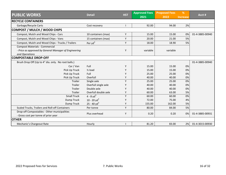| <b>PUBLIC WORKS</b>                                   | <b>Detail</b>             | <b>HST</b> | <b>Approved Fees</b> | <b>Proposed Fees</b> | %               | Acct#           |
|-------------------------------------------------------|---------------------------|------------|----------------------|----------------------|-----------------|-----------------|
|                                                       |                           |            | 2021                 | 2022                 | <b>Increase</b> |                 |
| <b>RECYCLE CONTAINERS</b>                             |                           |            |                      |                      |                 |                 |
| Garbage/Recycle Carts                                 | Cost recovery             |            | 92.00                | 94.00                | 2%              |                 |
| COMPOST / MULCH / WOOD CHIPS                          |                           |            |                      |                      |                 |                 |
| Compost, Mulch and Wood Chips - Cars                  | 10 containers (max)       | Y          | 15.00                | 15.00                | 0%              | 01-4-3885-00940 |
| Compost, Mulch and Wood Chips - Vans                  | 15 containers (max)       | Y          | 20.00                | 21.00                | 5%              |                 |
| Compost, Mulch and Wood Chips - Trucks / Trailers     | Per yd <sup>3</sup>       | Υ          | 18.00                | 18.90                | 5%              |                 |
| <b>Compost Materials - Commercial</b>                 |                           |            |                      |                      |                 |                 |
| - Price as approved by General Manager of Engineering |                           | Υ          | variable             | variable             |                 |                 |
| and Operations                                        |                           |            |                      |                      |                 |                 |
| <b>COMPOSTABLE DROP-OFF</b>                           |                           |            |                      |                      |                 |                 |
| Brush Drop Off (Up to 4" dia. only. No root balls.)   |                           |            |                      |                      |                 | 01-4-3885-00940 |
| Car / Van                                             | Full                      | Y          | 15.00                | 15.00                | 0%              |                 |
| Pick Up Truck                                         | $\frac{1}{2}$ load        | Υ          | 15.00                | 15.00                | 0%              |                 |
| Pick Up Truck                                         | Full                      | Y          | 25.00                | 25.00                | 0%              |                 |
| Pick Up Truck                                         | Overfull                  | Y          | 40.00                | 40.00                | 0%              |                 |
| Trailer                                               | Single axle               | Υ          | 25.00                | 25.00                | 0%              |                 |
| Trailer                                               | Overfull single axle      | Υ          | 40.00                | 40.00                | 0%              |                 |
| <b>Trailer</b>                                        | Double axle               | Y          | 40.00                | 40.00                | 0%              |                 |
| Trailer                                               | Overfull double axle      | Υ          | 60.00                | 63.00                | 5%              |                 |
| <b>Small Truck</b>                                    | $4 - 8$ yd <sup>3</sup>   | Y          | 60.00                | 60.00                | 0%              |                 |
| Dump Truck                                            | 10 - 20 yd <sup>3</sup>   | Y          | 72.00                | 75.00                | 4%              |                 |
| Dump Truck                                            | $25 - 40$ yd <sup>3</sup> | Υ          | 155.00               | 162.00               | 5%              |                 |
| Scaled Trucks, Trailers and Roll-off Containers       | Per tonne                 | Υ          | 80.00                | 84.00                | 5%              |                 |
| Drop-off Compostables - Other municipalities          | Plus overhead             | Y          | 0.20                 | 0.20                 | 0%              | 01-4-3885-00931 |
| - Gross cost per tonne of prior year                  |                           |            |                      |                      |                 |                 |
| <b>OTHER</b>                                          |                           |            |                      |                      |                 |                 |
| Mechanic's Chargeout Rate                             | Hourly                    |            | 81.20                | 83.00                | 2%              | 01-4-3015-00930 |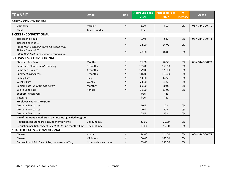|                                                                           |                       |            | <b>Approved Fees</b> | <b>Proposed Fees</b> | %               |                 |
|---------------------------------------------------------------------------|-----------------------|------------|----------------------|----------------------|-----------------|-----------------|
| <b>TRANSIT</b>                                                            | <b>Detail</b>         | <b>HST</b> | 2021                 | 2022                 | <b>Increase</b> | Acct #          |
| <b>FARES - CONVENTIONAL</b>                                               |                       |            |                      |                      |                 |                 |
| Cash Fare                                                                 | Regular               | N.         | 3.00                 | 3.00                 | 0%              | 06-4-3140-00470 |
| Child                                                                     | 12yrs & under         |            | free                 | free                 |                 |                 |
| <b>TICKETS - CONVENTIONAL</b>                                             |                       |            |                      |                      |                 |                 |
| Tickets, Individual                                                       |                       | N          | 2.40                 | 2.40                 | 0%              | 06-4-3140-00471 |
| Tickets, Sheet of 10                                                      |                       |            |                      |                      |                 |                 |
| (City Hall, Customer Service location only)                               |                       | N.         | 24.00                | 24.00                | 0%              |                 |
| Tickets, Sheet of 20                                                      |                       | N          | 48.00                | 48.00                | 0%              |                 |
| (City Hall, Customer Service location only)                               |                       |            |                      |                      |                 |                 |
| <b>BUS PASSES - CONVENTIONAL</b>                                          |                       |            |                      |                      |                 |                 |
| <b>Standard Bus Pass</b>                                                  | Monthly               | N.         | 76.50                | 76.50                | 0%              | 06-4-3140-00472 |
| Semester - Elementary/Secondary                                           | 5 months              | N          | 163.00               | 163.00               | 0%              |                 |
| Semester - College                                                        | 4 months              | N          | 179.00               | 179.00               | 0%              |                 |
| <b>Summer Savings Pass</b>                                                | 2 months              | N          | 116.00               | 116.00               | 0%              |                 |
| <b>Family Pass</b>                                                        | Daily                 | N          | 14.50                | 14.50                | 0%              |                 |
| <b>Weekly Pass</b>                                                        | Weekly                | N          | 24.50                | 24.50                | 0%              |                 |
| Seniors Pass (65 years and older)                                         | Monthly               | N          | 60.00                | 60.00                | 0%              |                 |
| <b>White Cane Pass</b>                                                    | Annual                | N          | 31.00                | 31.00                | 0%              |                 |
| <b>Support Person Pass</b>                                                |                       |            | free                 | free                 |                 |                 |
| Veterans                                                                  |                       |            | free                 | free                 |                 |                 |
| <b>Employer Bus Pass Program</b>                                          |                       |            |                      |                      |                 |                 |
| Discount 20+ passes                                                       |                       |            | 10%                  | 10%                  | 0%              |                 |
| Discount 40+ passes                                                       |                       |            | 20%                  | 20%                  | 0%              |                 |
| Discount 60+ passes                                                       |                       |            | 25%                  | 25%                  | 0%              |                 |
| Inn of the Good Shepherd - Low-Income Qualified Program                   |                       |            |                      |                      |                 |                 |
| Reduction per Standard Pass, no monthly limit                             | Discount in \$        |            | $-20.00$             | $-20.00$             | 0%              |                 |
| Reduction per Ticket Sheet (Sheet of 20), no monthly limit Discount in \$ |                       |            | $-15.00$             | $-15.00$             | 0%              |                 |
| <b>CHARTER RATES - CONVENTIONAL</b>                                       |                       |            |                      |                      |                 |                 |
| Charter                                                                   | Hourly                | Υ          | 114.00               | 114.00               | 0%              | 06-4-3140-00473 |
| Charter                                                                   | Minimum               | Y          | 160.00               | 160.00               | 0%              |                 |
| Return Round Trip (one pick-up, one destination)                          | No extra layover time | Y          | 155.00               | 155.00               | 0%              |                 |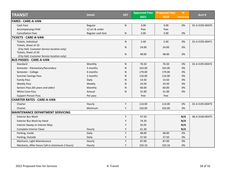|                                                 | <b>Detail</b>     | <b>HST</b> | <b>Approved Fees</b> | <b>Proposed Fees</b> | %               | Acct#           |
|-------------------------------------------------|-------------------|------------|----------------------|----------------------|-----------------|-----------------|
| <b>TRANSIT</b>                                  |                   |            | 2021                 | 2022                 | <b>Increase</b> |                 |
| <b>FARES - CARE-A-VAN</b>                       |                   |            |                      |                      |                 |                 |
| Cash Fare                                       | Regular           | N          | 3.00                 | 3.00                 | 0%              | 01-4-3195-00470 |
| Accompanying Child                              | 12 yrs & under    |            | free                 | free                 |                 |                 |
| <b>Cancellation Fees</b>                        | Regular cash fare | N          | 3.00                 | 3.00                 | 0%              |                 |
| <b>TICKETS - CARE-A-VAN</b>                     |                   |            |                      |                      |                 |                 |
| Tickets, Individual                             |                   | N          | 2.40                 | 2.40                 | 0%              | 01-4-3195-00471 |
| Tickets, Sheet of 10                            |                   | ${\sf N}$  | 24.00                | 24.00                | 0%              |                 |
| (City Hall, Customer Service location only)     |                   |            |                      |                      |                 |                 |
| Tickets, Sheet of 20                            |                   | N          | 48.00                | 48.00                | 0%              |                 |
| (City Hall, Customer Service location only)     |                   |            |                      |                      |                 |                 |
| <b>BUS PASSES - CARE-A-VAN</b>                  |                   |            |                      |                      |                 |                 |
| Standard                                        | Monthly           | N          | 76.50                | 76.50                | 0%              | 01-4-3195-00472 |
| Semester - Elementary/Secondary                 | 5 months          | N          | 163.00               | 163.00               | 0%              |                 |
| Semester - College                              | 4 months          | N          | 179.00               | 179.00               | 0%              |                 |
| <b>Summer Savings Pass</b>                      | 2 months          | N          | 116.00               | 116.00               | 0%              |                 |
| <b>Family Pass</b>                              | Daily             | N          | 14.50                | 14.50                | 0%              |                 |
| <b>Weekly Pass</b>                              | Weekly            | N          | 24.50                | 24.50                | 0%              |                 |
| Seniors Pass (65 years and older)               | Monthly           | N          | 60.00                | 60.00                | 0%              |                 |
| <b>White Cane Pass</b>                          | Annual            | N          | 31.00                | 31.00                | 0%              |                 |
| <b>Support Person Pass</b>                      | Per pass          |            | free                 | free                 |                 |                 |
| <b>CHARTER RATES - CARE-A-VAN</b>               |                   |            |                      |                      |                 |                 |
| Charter                                         | Hourly            | Υ          | 114.00               | 114.00               | 0%              | 01-4-3195-00473 |
| Charter                                         | Minimum           | Y          | 163.00               | 163.00               | 0%              |                 |
| <b>MAINTENANCE DEPARTMENT SERVICING</b>         |                   |            |                      |                      |                 |                 |
| <b>Exterior Bus Wash</b>                        |                   | Υ          | 47.50                |                      | N/A             | 06-4-3140-00475 |
| Exterior Bus Wash by Hand                       |                   | Y          | 74.20                |                      | N/A             |                 |
| Interior Sweep or Interior Mop                  |                   | Y          | 35.05                |                      | N/A             |                 |
| Complete Interior Clean                         | Hourly            | Y          | 61.30                |                      | N/A             |                 |
| Parking, Inside                                 | Daily             | Y          | 48.00                | 48.00                | 0%              |                 |
| Parking, Outside                                | Daily             | Y          | 37.50                | 37.50                | 0%              |                 |
| Mechanic, Light Maintenance                     | Hourly            | Y          | 87.00                | 87.00                | 0%              |                 |
| Mechanic, After Hours Call-in (minimum 2 hours) | Hourly            | Y          | 103.10               | 103.10               | 0%              |                 |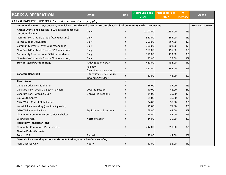|                                                                                                                      | <b>Detail</b>               | <b>HST</b> | <b>Approved Fees</b> | <b>Proposed Fees</b> | %               | Acct #          |
|----------------------------------------------------------------------------------------------------------------------|-----------------------------|------------|----------------------|----------------------|-----------------|-----------------|
| <b>PARKS &amp; RECREATION</b>                                                                                        |                             |            | 2021                 | 2022                 | <b>Increase</b> |                 |
| <b>PARK &amp; FACILITY USER FEES</b> (refundable deposits may apply)                                                 |                             |            |                      |                      |                 |                 |
| Centennial, Clearwater, Canatara, Kenwick on the Lake, Mike Weir & Tecumseh Parks & all Community Parks as requested |                             |            |                      |                      |                 | 01-4-4510-00903 |
| Anchor Events and Festivals - 5000 in attendance over                                                                | Daily                       | Υ          | 1,100.00             | 1,133.00             | 3%              |                 |
| duration of event                                                                                                    |                             |            |                      |                      |                 |                 |
| Non-Profit/Charitable Group (50% reduction)                                                                          | Daily                       | Y          | 550.00               | 565.00               | 3%              |                 |
| Set Up & Take Down Rate                                                                                              | Daily                       | Υ          | 250.00               | 257.00               | 3%              |                 |
| Community Events - over 500+ attendance                                                                              | Daily                       | Υ          | 300.00               | 308.00               | 3%              |                 |
| Non-Profit/Charitable Groups (50% reduction)                                                                         | Daily                       | Υ          | 150.00               | 155.00               | 3%              |                 |
| Community Events - under 500 in attendance                                                                           | Daily                       | Y          | 110.00               | 113.00               | 3%              |                 |
| Non-Profit/Charitable Groups (50% reduction)                                                                         | Daily                       | Y          | 55.00                | 56.00                | 2%              |                 |
| <b>Suncor Agora/Outdoor Stage</b>                                                                                    | 1/2 day (under 4 hrs.)      | Y          | 420.00               | 432.00               | 3%              |                 |
|                                                                                                                      | Full day                    | Y          | 840.00               | 862.00               | 3%              |                 |
|                                                                                                                      | (over 4 hrs. - max. 8 hrs.) |            |                      |                      |                 |                 |
| <b>Canatara Bandshell</b>                                                                                            | Hourly (min. 3 hrs. - max.  | Y          | 41.00                | 42.00                | 2%              |                 |
|                                                                                                                      | daily rate of 6 hrs.)       | Y          |                      |                      |                 |                 |
| <b>Picnic Areas</b>                                                                                                  |                             |            |                      |                      |                 |                 |
| Camp Saredaca Picnic Shelter                                                                                         |                             | Υ          | 36.00                | 37.00                | 3%              |                 |
| Canatara Park - Area 1 & Beach Pavilion                                                                              | <b>Covered Section</b>      | Υ          | 40.00                | 41.00                | 2%              |                 |
| Canatara Park - Areas 2, 3 & 4                                                                                       | <b>Uncovered Sections</b>   | Υ          | 34.00                | 35.00                | 3%              |                 |
| Cox Youth Centre                                                                                                     |                             | Υ          | 34.00                | 35.00                | 3%              |                 |
| Mike Weir - Cricket Club Shelter                                                                                     |                             | Υ          | 34.00                | 35.00                | 3%              |                 |
| Kenwick Park Wedding (pavilion & gazebo)                                                                             |                             | Υ          | 75.00                | 77.00                | 3%              |                 |
| Mike Weir/ Kenwick Park                                                                                              | Equivalent to 2 sections    | Y          | 63.00                | 64.00                | 2%              |                 |
| Clearwater Community Centre Picnic Shelter                                                                           |                             | Υ          | 34.00                | 35.00                | 3%              |                 |
| <b>Wildwood Park</b>                                                                                                 | North or South              | Υ          | 34.00                | 35.00                | 3%              |                 |
| <b>Hospitality Tent (Beer Tent)</b>                                                                                  |                             |            |                      |                      |                 |                 |
| Clearwater Community Picnic Shelter                                                                                  |                             | Υ          | 242.00               | 250.00               | 3%              |                 |
| <b>Garden Plots - Germain</b>                                                                                        |                             |            |                      |                      |                 |                 |
| 20 ft. x 20 ft.                                                                                                      | Annual                      | Υ          | 43.00                | 44.00                | 2%              |                 |
| Germain Park Wedding Arbour or Germain Park Japanese Garden - Wedding                                                |                             |            |                      |                      |                 |                 |
| Non-Licensed Only                                                                                                    | Hourly                      | Y          | 37.00                | 38.00                | 3%              |                 |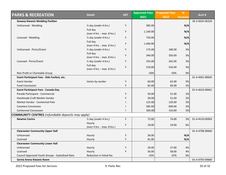| <b>PARKS &amp; RECREATION</b>                            | <b>Detail</b>                           | <b>HST</b> | <b>Approved Fees</b> | <b>Proposed Fees</b> | %               | Acct #          |
|----------------------------------------------------------|-----------------------------------------|------------|----------------------|----------------------|-----------------|-----------------|
|                                                          |                                         |            | 2021                 | 2022                 | <b>Increase</b> |                 |
| <b>Seaway Kiwanis Wedding Pavilion</b>                   |                                         |            |                      |                      |                 | 30-2-6635-06320 |
| Unlicensed - Wedding                                     | 1/2 day (under 4 hrs.)                  | Y          | 585.00               |                      | N/A             |                 |
|                                                          | Full day                                | Y          | 1,160.00             |                      | N/A             |                 |
|                                                          | (over 4 hrs. - max. 8 hrs.)             |            |                      |                      |                 |                 |
| Licensed - Wedding                                       | 1/2 day (under 4 hrs.)                  | Y          | 750.00               |                      | N/A             |                 |
|                                                          | Full day<br>(over 4 hrs. - max. 8 hrs.) | Y          | 1,460.00             |                      | N/A             |                 |
| Unlicensed - Picnic/Event                                | 1/2 day (under 4 hrs.)                  | Y          | 175.00               | 180.00               | 3%              |                 |
|                                                          | Full day<br>(over 4 hrs. - max. 8 hrs.) | Y          | 340.00               | 350.00               | 3%              |                 |
| Licensed - Picnic/Event                                  | 1/2 day (under 4 hrs.)                  | Y          | 255.00               | 262.00               | 3%              |                 |
|                                                          | Full day<br>(over 4 hrs. - max. 8 hrs.) | Y          | 510.00               | 524.00               | 3%              |                 |
| Non Profit or Charitable Group                           |                                         |            | $-50%$               | $-50%$               | 0%              |                 |
| Event Participant Fees - Kids Funfest, etc.              |                                         |            |                      |                      |                 | 01-4-4601-00645 |
| Event Vendor                                             | Varies by vendor                        | Y          | 60.00                | 62.00                | 3%              |                 |
| <b>Food Concession</b>                                   |                                         | Y          | 82.00                | 84.00                | 2%              |                 |
| <b>Event Participant Fees - Canada Day</b>               |                                         |            |                      |                      |                 | 01-4-4610-00661 |
| Parade Participant - Commercial                          |                                         | Y          | 50.00                | 51.00                | 2%              |                 |
| Handmade Craft Market Vendor                             |                                         | Y          | 50.00                | 51.00                | 2%              |                 |
| Market Vendor - Centennial Park                          |                                         |            | 125.00               | 129.00               | 3%              |                 |
| Canatara Concession                                      |                                         |            | 585.00               | 600.00               | 3%              |                 |
| <b>Centennial Concession</b>                             |                                         |            | 300.00               | 310.00               | 3%              |                 |
| <b>COMMUNITY CENTRES</b> (refundable deposits may apply) |                                         |            |                      |                      |                 |                 |
| <b>Newton Centre</b>                                     | 1/2 day (under 4 hrs.)                  | Y          | 72.00                | 74.00                | 3%              | 01-4-4510-00903 |
|                                                          | Hourly<br>(over 4 hrs. - max. 8 hrs.)   | Υ          | 18.00                | 19.00                | 6%              |                 |
| <b>Clearwater Community Upper Hall</b>                   |                                         |            |                      |                      |                 | 01-4-4708-00660 |
| Unlicensed                                               | Hourly                                  | Υ          | 36.00                |                      | N/A             |                 |
| Licensed                                                 | Hourly                                  | Υ          | 81.00                |                      | N/A             |                 |
| <b>Clearwater Community Lower Hall</b>                   |                                         |            |                      |                      |                 |                 |
| Unlicensed                                               | Hourly                                  | Υ          | 26.00                | 27.00                | 4%              |                 |
| Licensed                                                 | Hourly                                  | Y          | 56.00                | 58.00                | 4%              |                 |
| Council Approved Youth Groups - Subsidized Rate          | Reduction in listed fee                 |            | $-25%$               | $-25%$               | 0%              |                 |
| Sarnia Arena Kiwanis Room                                |                                         |            |                      |                      |                 | 01-4-4705-00660 |

2022 Proposed Fees for Services 9. Parks Rec 20 of 32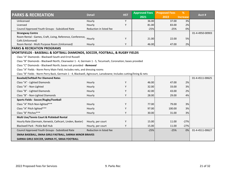| <b>PARKS &amp; RECREATION</b>                                                                                      | <b>Detail</b><br><b>HST</b> | <b>Approved Fees</b> | <b>Proposed Fees</b> | %      | Acct#           |                 |  |
|--------------------------------------------------------------------------------------------------------------------|-----------------------------|----------------------|----------------------|--------|-----------------|-----------------|--|
|                                                                                                                    |                             |                      | 2021                 | 2022   | <b>Increase</b> |                 |  |
| Unlicensed                                                                                                         | Hourly                      | Υ                    | 36.00                | 37.00  | 3%              |                 |  |
| Licensed                                                                                                           | Hourly                      | Υ                    | 81.00                | 83.00  | 2%              |                 |  |
| Council Approved Youth Groups - Subsidized Rate                                                                    | Reduction in listed fee     |                      | $-25%$               | $-25%$ | 0%              |                 |  |
| <b>Strangway Centre</b>                                                                                            |                             |                      |                      |        |                 | 01-4-4950-00903 |  |
| Room Rental - Games, Craft, Living, Reference, Conference,                                                         | Hourly                      | Y                    | 21.00                | 22.00  | 5%              |                 |  |
| Café (Unlicensed)                                                                                                  |                             | Υ                    | 46.00                |        |                 |                 |  |
| Room Rental - Multi Purpose Room (Unlicensed)                                                                      | Hourly                      |                      |                      | 47.00  | 2%              |                 |  |
| <b>PARKS &amp; RECREATION PROGRAMS</b>                                                                             |                             |                      |                      |        |                 |                 |  |
| SPORTSFIELDS - BASEBALL & SOFTBALL DIAMONDS, SOCCER, FOOTBALL, & RUGBY FIELDS                                      |                             |                      |                      |        |                 |                 |  |
| Class "A" Diamonds - Blackwell South and Errol Russell                                                             |                             |                      |                      |        |                 |                 |  |
| Class "B" Diamonds - Blackwell North, Clearwater 1 - 4, Germain 1 - 5, Tecumseh, Coronation; bases provided        |                             |                      |                      |        |                 |                 |  |
| Class "C" Diamonds - Blackwell North; bases not provided - Removed                                                 |                             |                      |                      |        |                 |                 |  |
| Class "A" Fields - Norm Perry Main Field; Includes nets, and dressing rooms                                        |                             |                      |                      |        |                 |                 |  |
| Class "B" Fields - Norm Perry Back, Germain 1 - 4, Blackwell, Agincourt, Lansdowne; Includes cutting/lining & nets |                             |                      |                      |        |                 |                 |  |
| <b>Baseball/Softball Per Diamond Rates</b>                                                                         |                             |                      |                      |        |                 | 01-4-4511-00625 |  |
| Class "A" - Lighted Diamonds                                                                                       | Hourly                      | Y                    | 46.00                | 47.00  | 2%              |                 |  |
| Class "A" - Non-Lighted                                                                                            | Hourly                      | Y                    | 32.00                | 33.00  | 3%              |                 |  |
| Class "B" - Lighted Diamonds                                                                                       | Hourly                      | Y                    | 42.00                | 43.00  | 2%              |                 |  |
| Class "B" - Non-Lighted Diamonds                                                                                   | Hourly                      | Y                    | 28.00                | 29.00  | 4%              |                 |  |
| Sports Fields - Soccer/Rugby/Football                                                                              |                             |                      |                      |        |                 |                 |  |
| Class "A" Pitch Non-lighted***                                                                                     | Hourly                      | Y                    | 77.00                | 79.00  | 3%              |                 |  |
| Class "A" Pitch lighted***                                                                                         | Hourly                      | Y                    | 97.00                | 100.00 | 3%              |                 |  |
| Class "B" Pitches***                                                                                               | Hourly                      | Υ                    | 30.00                | 31.00  | 3%              |                 |  |
| Multi Use/Tennis Court & Pickleball Rental                                                                         |                             |                      |                      |        |                 |                 |  |
| Hourly Rate (Germain, Kenwick, Cathcart, Linden, Baxter)                                                           | Hourly, per court           | Y                    | 15.00                | 11.00  | $-27%$          |                 |  |
| Blackwell Park - Pickle Ball Hub                                                                                   | Hourly, per court           | Υ                    | 15.00                | 11.00  | $-27%$          |                 |  |
| Council Approved Youth Groups - Subsidized Rate                                                                    | Reduction in listed fee     |                      | $-25%$               | $-25%$ | 0%              | 01-4-4511-00627 |  |
| SMAA BASEBALL, SMAA GIRLS FASTBALL, SARNIA MINOR BRAVES                                                            |                             |                      |                      |        |                 |                 |  |
| SARNIA GIRLS SOCCER, SARNIA FC, SMAA FOOTBALL                                                                      |                             |                      |                      |        |                 |                 |  |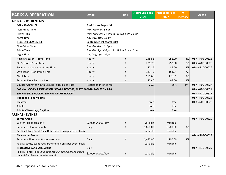| <b>PARKS &amp; RECREATION</b>                                                                    | <b>Detail</b>                             | <b>HST</b> | <b>Approved Fees</b> | <b>Proposed Fees</b> | %               | Acct #          |  |  |
|--------------------------------------------------------------------------------------------------|-------------------------------------------|------------|----------------------|----------------------|-----------------|-----------------|--|--|
|                                                                                                  |                                           |            | 2021                 | 2022                 | <b>Increase</b> |                 |  |  |
| <b>ARENAS - ICE RENTALS</b>                                                                      |                                           |            |                      |                      |                 |                 |  |  |
| <b>OFF - SEASON ICE</b>                                                                          | April 1st to August 31                    |            |                      |                      |                 |                 |  |  |
| Non-Prime Time                                                                                   | Mon-Fri; 6 am-5 pm                        |            |                      |                      |                 |                 |  |  |
| Prime Time                                                                                       | Mon-Fri; 5 pm-10 pm; Sat & Sun 6 am-12 am |            |                      |                      |                 |                 |  |  |
| Night Time                                                                                       | Any Day; after 10 pm                      |            |                      |                      |                 |                 |  |  |
| <b>REGULAR SEASON ICE</b>                                                                        | September 1st-March 31st                  |            |                      |                      |                 |                 |  |  |
| Non-Prime Time                                                                                   | Mon-Fri; 6 am to 5pm                      |            |                      |                      |                 |                 |  |  |
| Prime Time                                                                                       | Mon-Fri; 5 pm-10 pm; Sat & Sun 7 am-10 pm |            |                      |                      |                 |                 |  |  |
| Night Time                                                                                       | Any Day; after 10 pm                      |            |                      |                      |                 |                 |  |  |
| Regular Season - Prime Time                                                                      | Hourly                                    | Υ          | 245.53               | 252.90               | 3%              | 01-4-4705-00626 |  |  |
| Off Season - Prime Time                                                                          | Hourly                                    | Y          | 235.75               | 252.90               | 7%              | 01-4-4708-00626 |  |  |
| Regular Season - Non-Prime Time                                                                  | Hourly                                    | Y          | 82.14                | 84.60                | 3%              | 01-4-4710-00626 |  |  |
| Off Season - Non-Prime Time                                                                      | Hourly                                    | Y          | 141.45               | 151.74               | 7%              |                 |  |  |
| Night Time                                                                                       | Hourly                                    | Y          | 171.66               | 176.81               | 3%              |                 |  |  |
| Summer Floor Rental - Sports                                                                     | Hourly                                    | Y          | 92.40                | 94.00                | 2%              |                 |  |  |
| Council Approved Youth Groups - Subsidized Rate                                                  | Reduction in listed fee                   |            | $-25%$               | $-25%$               | 0%              | 01-4-4705-00627 |  |  |
| SARNIA HOCKEY ASSOCIATION, SMAA LACROSSE, SKATE SARNIA, LAMBTON AAA                              |                                           |            |                      |                      |                 | 01-4-4708-00627 |  |  |
| SARNIA GIRLS HOCKEY, SARNIA SLEDGE HOCKEY                                                        |                                           |            |                      |                      |                 | 01-4-4710-00627 |  |  |
| <b>Public and Family Skate</b>                                                                   |                                           |            |                      |                      |                 | 01-4-4705-00628 |  |  |
| Children                                                                                         |                                           |            | free                 | free                 |                 | 01-4-4708-00628 |  |  |
| <b>Adults</b>                                                                                    |                                           |            | free                 | free                 |                 |                 |  |  |
| Adults - Weekdays, Daytime                                                                       |                                           |            | free                 | free                 |                 |                 |  |  |
| <b>ARENAS - EVENTS</b>                                                                           |                                           |            |                      |                      |                 |                 |  |  |
| Sarnia Arena                                                                                     |                                           |            |                      |                      |                 | 01-4-4705-00629 |  |  |
| Winter - Floor area only                                                                         | \$2,000-\$4,000/day                       | Y          | variable             | variable             |                 |                 |  |  |
| Summer - Floor area only                                                                         | Daily                                     | Y          | 1,650.00             | 1,700.00             | 3%              |                 |  |  |
| Facility Setup/Event Fees: Determined on a per event basis                                       |                                           |            | variable             | variable             |                 |                 |  |  |
| <b>Clearwater Arena</b>                                                                          |                                           |            |                      |                      |                 | 01-4-4708-00629 |  |  |
| Summer - Floor area & spectator area                                                             | Daily                                     | Υ          | 1,650.00             | 1,700.00             | 3%              |                 |  |  |
| Facility Setup/Event Fees: Determined on a per event basis                                       |                                           |            | variable             | variable             |                 |                 |  |  |
| <b>Progressive Auto Sales Arena</b>                                                              | Daily                                     |            |                      |                      |                 | 01-4-4710-00629 |  |  |
| Facility Rental Fees (plus applicable event expenses, based<br>on individual event requirements) | \$2,000-\$4,000/day                       | Y          | variable             | variable             |                 |                 |  |  |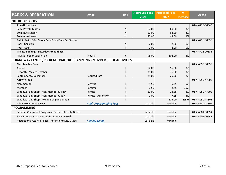| <b>PARKS &amp; RECREATION</b><br><b>Detail</b>                      |                               | <b>HST</b> | <b>Approved Fees</b> | <b>Proposed Fees</b> | %               |                 |  |
|---------------------------------------------------------------------|-------------------------------|------------|----------------------|----------------------|-----------------|-----------------|--|
|                                                                     |                               |            | 2021                 | 2022                 | <b>Increase</b> | Acct#           |  |
| <b>OUTDOOR POOLS</b>                                                |                               |            |                      |                      |                 |                 |  |
| <b>Aquatic Lessons</b>                                              |                               |            |                      |                      |                 | 01-4-4716-00640 |  |
| Semi-Private Lesson                                                 |                               | N          | 67.00                | 69.00                | 3%              |                 |  |
| 50 minute Lesson                                                    |                               | N          | 62.00                | 64.00                | 3%              |                 |  |
| 30 minute Lesson                                                    |                               | N          | 47.00                | 48.00                | 2%              |                 |  |
| Public Swim &/or Spray Park Entry Fee - Per Session                 |                               |            |                      |                      |                 | 01-4-4716-00630 |  |
| Pool - Children                                                     |                               | N          | 2.00                 | 2.00                 | 0%              |                 |  |
| Pool - Adults                                                       |                               |            | 2.00                 | 2.00                 | 0%              |                 |  |
| <b>Private Bookings, Saturdays or Sundays</b>                       |                               |            |                      |                      |                 | 01-4-4716-00635 |  |
| Private Pool or Splash Pad                                          | Hourly                        | ٧          | 98.00                | 102.00               | 4%              |                 |  |
| STRANGWAY CENTRE/RECREATIONAL PROGRAMMING - MEMBERSHIP & ACTIVITIES |                               |            |                      |                      |                 |                 |  |
| <b>Membership Fees</b>                                              |                               |            |                      |                      |                 | 01-4-4950-00655 |  |
| Annual                                                              |                               |            | 54.00                | 55.50                | 3%              |                 |  |
| 6 month - May to October                                            |                               |            | 35.00                | 36.00                | 3%              |                 |  |
| September to December                                               | Reduced rate                  |            | 25.00                | 25.50                | 2%              |                 |  |
| <b>Activity Fees</b>                                                |                               |            |                      |                      |                 | 01-4-4950-47806 |  |
| Non-member                                                          | Per visit                     |            | 5.50                 | 5.75                 | 5%              |                 |  |
| Member                                                              | Per time                      |            | 2.50                 | 2.75                 | 10%             |                 |  |
| Woodworking Shop - Non-member full day                              | Per use                       |            | 12.00                | 12.25                | 2%              | 01-4-4950-47805 |  |
| Woodworking Shop - Non-member 1/2 day                               | Per use - AM or PM            |            | 7.00                 | 7.25                 | 4%              |                 |  |
| Woodworking Shop - Membership fee annual                            |                               |            |                      | 175.00               | <b>NEW</b>      | 01-4-4950-47805 |  |
| <b>Adult Programming Fees</b>                                       | <b>Adult Programming Fees</b> |            | variable             | variable             |                 | 01-4-4950-47806 |  |
| <b>PROGRAMMING</b>                                                  |                               |            |                      |                      |                 |                 |  |
| Summer Camps and Programs - Refer to Activity Guide                 |                               |            | variable             | variable             |                 | 01-4-4601-00654 |  |
| Park Summer Programs - Refer to Activity Guide                      |                               |            | variable             | variable             |                 | 01-4-4601-00642 |  |
| Recreational Activities Fees - Refer to Activity Guide              | <b>Activity Guide</b>         |            | variable             | variable             |                 |                 |  |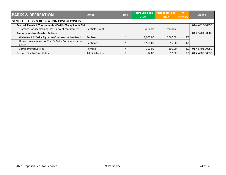| <b>PARKS &amp; RECREATION</b>                               | <b>Detail</b>      | <b>HST</b> | <b>Approved Fees</b> | <b>Proposed Fees</b> | %        | Acct #          |  |
|-------------------------------------------------------------|--------------------|------------|----------------------|----------------------|----------|-----------------|--|
|                                                             |                    |            | 2021                 | 2022                 | Increase |                 |  |
| <b>GENERAL PARKS &amp; RECREATION COST RECOVERY</b>         |                    |            |                      |                      |          |                 |  |
| Festival, Events & Tournaments - Facility/Park/Sports Field |                    |            |                      |                      |          | 01-4-4510-00930 |  |
| Damage, facility cleaning, set up event requirements        | Per field/event    |            | variable             | variable             |          |                 |  |
| <b>Commemorative Benches &amp; Trees</b>                    |                    |            |                      |                      |          | 01-4-5701-90005 |  |
| Waterfront & Park - Signature Commemorative Bench           | Per bench          | N          | 2.000.00             | 2.060.00             | 3%       |                 |  |
| Howard Watson Nature Trail & Park - Commemorative           | Per bench          | N          | 1.500.00             | 1.555.00             | 4%       |                 |  |
| Bench                                                       |                    |            |                      |                      |          |                 |  |
| <b>Commemorative Tree</b>                                   | Per tree           | N          | 300.00               | 305.00               | 2%       | 01-4-5701-90059 |  |
| Refunds Due to Cancellation                                 | Administration fee |            | 12.00                | 12.00                | 0%       | 01-4-4500-00930 |  |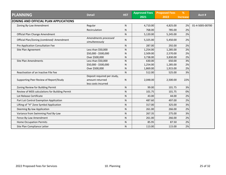| <b>PLANNING</b>                                | <b>Detail</b>                          | <b>HST</b> | <b>Approved Fees</b> | <b>Proposed Fees</b> | %               | Acct #          |
|------------------------------------------------|----------------------------------------|------------|----------------------|----------------------|-----------------|-----------------|
|                                                |                                        |            | 2021                 | 2022                 | <b>Increase</b> |                 |
| <b>ZONING AND OFFICIAL PLAN APPLICATIONS</b>   |                                        |            |                      |                      |                 |                 |
| Zoning By-Law Amendment                        | Regular                                | N          | 4,710.00             | 4,825.00             | 2%              | 01-4-5005-00700 |
|                                                | Recirculation                          | N          | 768.00               | 785.00               | 2%              |                 |
| Official Plan Change Amendment                 |                                        | ${\sf N}$  | 5,120.00             | 5,245.00             | 2%              |                 |
| Official Plan/Zoning (combined) Amendment      | Amendments processed<br>simultaneously | N          | 5,325.00             | 5,450.00             | 2%              |                 |
| Pre Application Consultation Fee               |                                        | N          | 287.00               | 292.00               | 2%              |                 |
| Site Plan Agreement                            | Less than \$50,000                     | N          | 1,254.00             | 1,285.00             | 2%              |                 |
|                                                | \$50,000 - \$500,000                   | N          | 2,509.00             | 2,570.00             | 2%              |                 |
|                                                | Over \$500,000                         | N          | 3,738.00             | 3,830.00             | 2%              |                 |
| Site Plan Amendments                           | Less than \$50,000                     | N          | 630.00               | 650.00               | 3%              |                 |
|                                                | \$50,000 - \$500,000                   | N          | 1,254.00             | 1,285.00             | 2%              |                 |
|                                                | Over \$500,000                         | N          | 1,869.00             | 1,915.00             | 2%              |                 |
| Reactivation of an Inactive File Fee           |                                        | N          | 512.00               | 525.00               | 3%              |                 |
|                                                | Deposit required per study,            |            |                      |                      |                 |                 |
| Supporting Peer Review of Report/Study         | amount returned<br>less costs incurred | ${\sf N}$  | 2,048.00             | 2,500.00             | 22%             |                 |
| Zoning Review for Building Permit              |                                        | N          | 99.00                | 101.75               | 3%              |                 |
| Review of MDS calculations for Building Permit |                                        | N          | 101.75               | 101.75               | 0%              |                 |
| Lot Release Certificate                        |                                        | ${\sf N}$  | 43.00                | 44.00                | 2%              |                 |
| Part Lot Control Exemption Application         |                                        | N          | 487.60               | 497.00               | 2%              |                 |
| Lifting of "H" Zone Symbol Application         |                                        | ${\sf N}$  | 317.00               | 325.00               | 3%              |                 |
| Deeming By-law Application                     |                                        | ${\sf N}$  | 261.00               | 266.00               | 2%              |                 |
| Variance from Swimming Pool By-Law             |                                        | ${\sf N}$  | 267.35               | 275.00               | 3%              |                 |
| Fence By-Law Amendment                         |                                        | ${\sf N}$  | 261.00               | 266.00               | 2%              |                 |
| <b>Home Occupation Permits</b>                 |                                        | ${\sf N}$  | 85.95                | 87.50                | 2%              |                 |
| Site Plan Compliance Letter                    |                                        | ${\sf N}$  | 113.00               | 115.00               | 2%              |                 |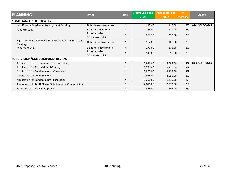| <b>PLANNING</b>                                                            | <b>Detail</b>                      | <b>HST</b> | <b>Approved Fees</b> | <b>Proposed Fees</b> | %               | Acct #          |
|----------------------------------------------------------------------------|------------------------------------|------------|----------------------|----------------------|-----------------|-----------------|
|                                                                            |                                    |            | 2021                 | 2022                 | <b>Increase</b> |                 |
| <b>COMPLIANCE CERTIFICATES</b>                                             |                                    |            |                      |                      |                 |                 |
| Low Density Residential Zoning Use & Building                              | 10 business days or less           | N          | 112.45               | 115.00               | 2%              | 01-4-5005-00701 |
| (3 or less units)                                                          | 5 business days or less            | N          | 166.00               | 170.00               | 2%              |                 |
|                                                                            | 1 business day<br>(when available) | N          | 273.15               | 279.00               | 2%              |                 |
| High Density Residential & Non-Residential Zoning Use &<br><b>Building</b> | 10 business days or less           | N          | 162.00               | 165.00               | 2%              |                 |
| (4 or more units)                                                          | 5 business days or less            | N          | 271.00               | 276.00               | 2%              |                 |
|                                                                            | 1 business day<br>(when available) | N          | 543.00               | 555.00               | 2%              |                 |
| <b>SUBDIVISION/CONDOMINIUM REVIEW</b>                                      |                                    |            |                      |                      |                 |                 |
| Application for Subdivision (10 or more units)                             |                                    | N          | 7,936.00             | 8,095.00             | 2%              | 01-4-5005-00704 |
| Application for Subdivision (5-9 units)                                    |                                    | N          | 6,784.00             | 6,920.00             | 2%              |                 |
| Application for Condominium - Conversion                                   |                                    | N          | 2,867.00             | 2,925.00             | 2%              |                 |
| Application for Condominium                                                |                                    | N          | 7,936.00             | 8,095.00             | 2%              |                 |
| Application for Condominium - Exemption                                    |                                    | N          | 1,250.00             | 1,275.00             | 2%              |                 |
| Amendment to Draft Plan of Subdivision or Condominium                      |                                    | N.         | 2,816.00             | 2,873.00             | 2%              |                 |
| Extension of Draft Plan Approval                                           |                                    | N          | 358.00               | 365.00               | 2%              |                 |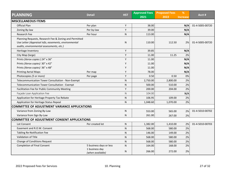| <b>PLANNING</b><br><b>Detail</b>                       |                                    | <b>HST</b>   | <b>Approved Fees</b> | <b>Proposed Fees</b> | %               | Acct #          |
|--------------------------------------------------------|------------------------------------|--------------|----------------------|----------------------|-----------------|-----------------|
|                                                        |                                    |              | 2021                 | 2022                 | <b>Increase</b> |                 |
| <b>MISCELLANEOUS ITEMS</b>                             |                                    |              |                      |                      |                 |                 |
| Official Plan                                          | Per plan                           | Υ            | 38.00                |                      | N/A             | 01-4-5005-00720 |
| Zoning By-law                                          | Per by-law                         | Y            | 39.00                |                      | N/A             |                 |
| Research Fee                                           | Per hour                           | ${\sf N}$    | 113.00               |                      | N/A             |                 |
| Planning Requests, Research Fee & Zoning and Permitted |                                    |              |                      |                      |                 |                 |
| Use Letter (Appraisal info, easements, environmental   |                                    | ${\sf N}$    | 110.00               | 112.50               | 2%              | 01-4-5005-00720 |
| audits, environmental assessments, etc.)               |                                    |              |                      |                      |                 |                 |
| Heritage Inventory                                     |                                    | Υ            | 39.85                |                      | N/A             |                 |
| City Map (large)                                       |                                    | Υ            | 11.00                | 11.25                | 2%              |                 |
| Prints (Xerox copies) 24" x 36"                        |                                    | Y            | 11.00                |                      | N/A             |                 |
| Prints (Xerox copies) 30" x 42"                        |                                    | Υ            | 11.00                |                      | N/A             |                 |
| Prints (Xerox copies) 36" x 48"                        |                                    | Υ            | 11.00                |                      | N/A             |                 |
| <b>Printing Aerial Maps</b>                            | Per map                            | Υ            | 78.00                |                      | N/A             |                 |
| Photocopies (5 or more)                                | Per page                           | Y            | 0.50                 | 0.50                 | 0%              |                 |
| Telecommunication Tower Consultation - Non-Exempt      |                                    | ${\sf N}$    | 2,750.00             | 2,800.00             | 2%              |                 |
| Telecommunication Tower Consultation - Exempt          |                                    | ${\sf N}$    | 500.00               | 510.00               | 2%              |                 |
| Facilitation Fee for Public Community Meeting          |                                    | Υ            | 200.00               | 204.00               | 2%              |                 |
| Façade Loan Application Fee                            |                                    | ${\sf N}$    | 104.00               |                      | N/A             |                 |
| Application for Heritage Property Tax Rebate           |                                    | $\mathsf{N}$ | 106.95               | 109.00               | 2%              |                 |
| Application for Heritage Status Repeal                 |                                    | ${\sf N}$    | 1,048.60             | 1,070.00             | 2%              |                 |
| <b>COMMITTEE OF ADJUSTMENT VARIANCE APPLICATIONS</b>   |                                    |              |                      |                      |                 |                 |
| Variance from Zoning By-Law                            |                                    | ${\sf N}$    | 553.00               | 565.00               | 2%              | 01-4-5010-00702 |
| Variance from Sign By-Law                              |                                    | ${\sf N}$    | 261.00               | 267.00               | 2%              |                 |
| COMMITTEE OF ADJUSTMENT CONSENT APPLICATIONS           |                                    |              |                      |                      |                 |                 |
| Lot Consent                                            | Per created lot                    | ${\sf N}$    | 1,382.00             | 1,410.00             | 2%              | 01-4-5010-00703 |
| Easement and R.O.W. Consent                            |                                    | ${\sf N}$    | 568.00               | 580.00               | 2%              |                 |
| <b>Tabling Re-Notification Fee</b>                     |                                    | $\mathsf{N}$ | 146.00               | 149.00               | 2%              |                 |
| Validation of Title                                    |                                    | ${\sf N}$    | 568.00               | 580.00               | 2%              |                 |
| Change of Conditions Request                           |                                    | ${\sf N}$    | 568.00               | 580.00               | 2%              |                 |
| <b>Completion of Final Consent</b>                     | 5 business days or less            | $\mathsf{N}$ | 164.00               | 168.00               | 2%              |                 |
|                                                        | 1 business day<br>(when available) | N            | 266.00               | 272.00               | 2%              |                 |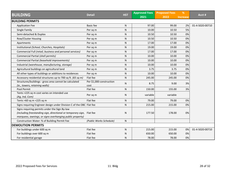|                                                                       | <b>Detail</b>            | <b>HST</b>   | <b>Approved Fees</b> | <b>Proposed Fees</b> | %               | Acct #          |
|-----------------------------------------------------------------------|--------------------------|--------------|----------------------|----------------------|-----------------|-----------------|
| <b>BUILDING</b>                                                       |                          |              | 2021                 | 2022                 | <b>Increase</b> |                 |
| <b>BUILDING PERMITS</b>                                               |                          |              |                      |                      |                 |                 |
| <b>Application Fee</b>                                                | <b>Basic fee</b>         | $\mathsf{N}$ | 97.00                | 99.00                | 2%              | 01-4-5020-00710 |
| Single Family                                                         | Per sq m                 | $\mathsf{N}$ | 10.00                | 10.50                | 5%              |                 |
| Semi-detached & Duplex                                                | Per sq m                 | ${\sf N}$    | 10.50                | 10.50                | 0%              |                 |
| <b>Row/Cluster Housing</b>                                            | Per sq m                 | $\mathsf{N}$ | 10.50                | 10.50                | 0%              |                 |
| Apartments                                                            | Per sq m                 | ${\sf N}$    | 17.00                | 17.00                | 0%              |                 |
| Institutional (School, Churches, Hospitals)                           | Per sq m                 | $\mathsf{N}$ | 19.00                | 19.00                | 0%              |                 |
| Commercial Full (retail, business and personal services)              | Per sq m                 | ${\sf N}$    | 17.00                | 17.00                | 0%              |                 |
| Commercial Partial (shell permits)                                    | Per sq m                 | ${\sf N}$    | 10.00                | 10.00                | 0%              |                 |
| Commercial Partial (leasehold improvements)                           | Per sq m                 | ${\sf N}$    | 10.00                | 10.00                | 0%              |                 |
| Industrial (warehouse, manufacturing, storage)                        | Per sq m                 | ${\sf N}$    | 10.00                | 10.00                | 0%              |                 |
| Agricultural buildings on agricultural land                           | Per sq m                 | ${\sf N}$    | 3.75                 | 3.75                 | 0%              |                 |
| All other types of buildings or additions to residences               | Per sq m                 | $\mathsf{N}$ | 10.00                | 10.00                | 0%              |                 |
| Accessory residential structures up to 700 sq ft. (65 sq m)           | Flat fee                 | ${\sf N}$    | 245.00               | 245.00               | 0%              |                 |
| Structures/buildings - gross area cannot be calculated                | Per \$1,000 construction | N            | 8.75                 | 9.00                 | 3%              |                 |
| (ie., towers, retaining walls)                                        | cost                     |              |                      |                      |                 |                 |
| Pool Permit                                                           | Flat fee                 | $\mathsf{N}$ | 150.00               | 155.00               | 3%              |                 |
| Tents >225 sq m cost varies on intended use                           | Per sq m                 | N            | variable             | variable             |                 |                 |
| (Ag, Ind, Com)                                                        |                          |              |                      |                      |                 |                 |
| Tents >60 sq m <225 sq m                                              | Flat fee                 | $\mathsf{N}$ | 79.00                | 79.00                | 0%              |                 |
| Signs requiring Engineer design under Division C of the OBC Flat fee  |                          | ${\sf N}$    | 215.00               | 215.00               | 0%              |                 |
| Signs requiring permits under the Sign By-law                         |                          |              |                      |                      |                 |                 |
| (including freestanding sign, directional or temporary sign, Flat fee |                          | N            | 177.50               | 178.00               | 0%              |                 |
| marquees, awnings, or signs overhanging public property)              |                          |              |                      |                      |                 |                 |
| Construction Water: % of Building Permit Fee                          | (Public Works Schedule)  | $\mathsf{N}$ |                      |                      |                 |                 |
| <b>DEMOLITION PERMITS</b>                                             |                          |              |                      |                      |                 |                 |
| For buildings under 600 sq m                                          | Flat fee                 | ${\sf N}$    | 215.00               | 215.00               | 0%              | 01-4-5020-00710 |
| For buildings over 600 sq m                                           | Flat fee                 | N            | 650.00               | 650.00               | 0%              |                 |
| For residential garage                                                | Flat fee                 | $\mathsf{N}$ | 78.00                | 78.00                | 0%              |                 |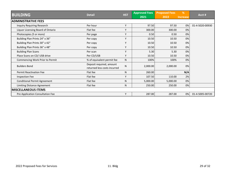| <b>BUILDING</b>                     | <b>Detail</b>                                            | <b>HST</b> | <b>Approved Fees</b><br>2021 | <b>Proposed Fees</b><br>2022 | %<br>Increase | Acct#           |
|-------------------------------------|----------------------------------------------------------|------------|------------------------------|------------------------------|---------------|-----------------|
| <b>ADMINISTRATIVE FEES</b>          |                                                          |            |                              |                              |               |                 |
| <b>Inquiry Requiring Research</b>   | Per hour                                                 | Y          | 97.50                        | 97.50                        | 0%            | 01-4-5020-00930 |
| Liquor Licensing Board of Ontario   | Flat fee                                                 | Υ          | 300.00                       | 300.00                       | 0%            |                 |
| Photocopies (5 or more)             | Per page                                                 | Υ          | 0.50                         | 0.50                         | 0%            |                 |
| Building Plan Prints 24" x 36"      | Per copy                                                 | Y          | 10.50                        | 10.50                        | 0%            |                 |
| Building Plan Prints 30" x 42"      | Per copy                                                 | Υ          | 10.50                        | 10.50                        | 0%            |                 |
| Building Plan Prints 36" x 48"      | Per copy                                                 | Y          | 10.50                        | 10.50                        | 0%            |                 |
| <b>Building Plan Scans</b>          | Per scan                                                 | Y          | 5.30                         | 5.30                         | 0%            |                 |
| Place Scans on CD/ USB drive        | Per CD/USB                                               | Υ          | 10.50                        | 10.50                        | 0%            |                 |
| Commencing Work Prior to Permit     | % of equivalent permit fee                               | N          | 100%                         | 100%                         | 0%            |                 |
| <b>Builders Bond</b>                | Deposit required, amount<br>returned less costs incurred | ${\sf N}$  | 2,000.00                     | 2,000.00                     | 0%            |                 |
| <b>Permit Reactivation Fee</b>      | Flat fee                                                 | N          | 260.00                       |                              | N/A           |                 |
| <b>Inspection Fee</b>               | Flat fee                                                 | Y          | 107.50                       | 110.00                       | 2%            |                 |
| <b>Conditional Permit Agreement</b> | Flat fee                                                 | N          | 5,000.00                     | 5,000.00                     | 0%            |                 |
| Limiting Distance Agreement         | Flat fee                                                 | N          | 250.00                       | 250.00                       | 0%            |                 |
| <b>MISCELLANEOUS ITEMS</b>          |                                                          |            |                              |                              |               |                 |
| Pre Application Consultation Fee    |                                                          | Υ          | 287.00                       | 287.00                       | 0%            | 01-4-5005-00720 |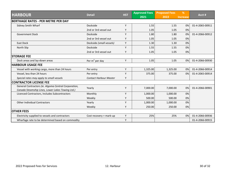|                                                                                                          | <b>Detail</b>                 | <b>HST</b> | <b>Approved Fees</b> | <b>Proposed Fees</b> | %               | Acct #          |
|----------------------------------------------------------------------------------------------------------|-------------------------------|------------|----------------------|----------------------|-----------------|-----------------|
| <b>HARBOUR</b>                                                                                           |                               |            | 2021                 | 2022                 | <b>Increase</b> |                 |
| <b>BERTHAGE RATES - PER METRE PER DAY</b>                                                                |                               |            |                      |                      |                 |                 |
| Sidney Smith Wharf                                                                                       | Dockside                      | Y          | 1.55                 | 1.55                 | 0%              | 01-4-2065-00911 |
|                                                                                                          | 2nd or 3rd vessel out         | Y          | 1.05                 | 1.05                 | 0%              |                 |
| <b>Government Dock</b>                                                                                   | Dockside                      | Y          | 1.80                 | 1.80                 | 0%              | 01-4-2066-00912 |
|                                                                                                          | 2nd or 3rd vessel out         | Y          | 1.05                 | 1.05                 | 0%              |                 |
| <b>East Dock</b>                                                                                         | Dockside (small vessels)      | Y          | 1.30                 | 1.30                 | 0%              |                 |
| North Slip                                                                                               | Dockside                      | Y          | 1.55                 | 1.55                 | 0%              |                 |
|                                                                                                          | 2nd or 3rd vessel out         | Y          | 1.05                 | 1.05                 | 0%              |                 |
| <b>STORAGE FEE</b>                                                                                       |                               |            |                      |                      |                 |                 |
| Dock areas and lay-down areas                                                                            | Per $m^2$ per day             | Υ          | 1.05                 | 1.05                 | 0%              | 01-4-2066-00930 |
| <b>HARBOUR USAGE FEE</b>                                                                                 |                               |            |                      |                      |                 |                 |
| Vessel with working cargo, more than 24 hours                                                            | Per entry                     | Y          | 1,325.00             | 1,325.00             | 0%              | 01-4-2066-00914 |
| Vessel, less than 24 hours                                                                               | Per entry                     | Y          | 375.00               | 375.00               | 0%              | 01-4-2065-00914 |
| Special rates may apply to small vessels                                                                 | <b>Contact Harbour Master</b> | Υ          |                      |                      |                 |                 |
| <b>CONTRACTOR LICENSE FEE</b>                                                                            |                               |            |                      |                      |                 |                 |
| General Contractors (ie. Algoma Central Corporation,<br>Canada Steamship Lines, Lower Lakes Towing Ltd.) | Yearly                        | Y          | 7,000.00             | 7,000.00             | 0%              | 01-4-2066-00901 |
| Licenced Contractors, Includes Subcontractors                                                            | Monthly                       | Y          | 1,000.00             | 1,000.00             | 0%              |                 |
|                                                                                                          | Weekly                        | Y          | 500.00               | 500.00               | 0%              |                 |
| <b>Other Individual Contractors</b>                                                                      | Yearly                        | Υ          | 1,000.00             | 1,000.00             | 0%              |                 |
|                                                                                                          | Weekly                        | Y          | 250.00               | 250.00               | 0%              |                 |
| <b>OTHER FEES</b>                                                                                        |                               |            |                      |                      |                 |                 |
| Electricity supplied to vessels and contractors                                                          | Cost recovery + mark-up       | Y          | 25%                  | 25%                  | 0%              | 01-4-2066-00936 |
| Wharfage rate to be determined based on commodity                                                        |                               | Y          |                      |                      |                 | 01-4-2066-00915 |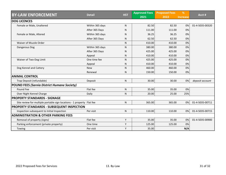|                                                                        | <b>Detail</b>   | <b>HST</b> | <b>Approved Fees</b> | <b>Proposed Fees</b> | %               | Acct #          |
|------------------------------------------------------------------------|-----------------|------------|----------------------|----------------------|-----------------|-----------------|
| <b>BY-LAW ENFORCEMENT</b>                                              |                 |            | 2021                 | 2022                 | <b>Increase</b> |                 |
| <b>DOG LICENCES</b>                                                    |                 |            |                      |                      |                 |                 |
| Female or Male, Unaltered                                              | Within 365 days | N          | 82.50                | 82.50                | 0%              | 01-4-5035-00320 |
|                                                                        | After 365 Days  | N          | 111.00               | 111.00               | 0%              |                 |
| Female or Male, Altered                                                | Within 365 days | N          | 36.25                | 36.25                | 0%              |                 |
|                                                                        | After 365 Days  | N          | 62.50                | 62.50                | 0%              |                 |
| Waiver of Muzzle Order                                                 |                 | N          | 410.00               | 410.00               | 0%              |                 |
| Dangerous Dog                                                          | Within 365 days | N          | 380.00               | 380.00               | 0%              |                 |
|                                                                        | After 365 Days  | N          | 425.00               | 425.00               | 0%              |                 |
|                                                                        | Appeal          | N          | 410.00               | 410.00               | 0%              |                 |
| Waiver of Two-Dog Limit                                                | One time fee    | N          | 425.00               | 425.00               | 0%              |                 |
|                                                                        | Appeal          | N          | 410.00               | 410.00               | 0%              |                 |
| Dog Kennel and Cattery                                                 | <b>New</b>      | N          | 460.00               | 460.00               | 0%              |                 |
|                                                                        | Renewal         | N          | 150.00               | 150.00               | 0%              |                 |
| <b>ANIMAL CONTROL</b>                                                  |                 |            |                      |                      |                 |                 |
| Trap Deposit (refundable)                                              | Deposit         | N          | 30.00                | 30.00                | 0%              | deposit account |
| <b>POUND FEES (Sarnia District Humane Society)</b>                     |                 |            |                      |                      |                 |                 |
| Pound Fee                                                              | Flat fee        | N          | 35.00                | 35.00                | 0%              |                 |
| Over Night Kennel Charge                                               | Daily           | N          | 20.00                | 25.00                | 25%             |                 |
| <b>PROPERTY STANDARDS - SIGNAGE</b>                                    |                 |            |                      |                      |                 |                 |
| Site review for multiple portable sign locations - 1 property Flat fee |                 | N          | 365.00               | 365.00               | 0%              | 01-4-5035-00711 |
| <b>PROPERTY STANDARDS - SUBSEQUENT INSPECTION</b>                      |                 |            |                      |                      |                 |                 |
| Inspection subsequent to Initial Inspection                            | Per visit       | N          | 110.00               | 110.00               | 0%              | 01-4-5035-00715 |
| <b>ADMINISTRATION &amp; OTHER PARKING FEES</b>                         |                 |            |                      |                      |                 |                 |
| Removal of property (signs)                                            | Flat fee        | Υ          | 35.00                | 35.00                | 0%              | 01-4-5035-00900 |
| Parking enforcement (private property)                                 | One time        | Υ          | 125.00               | 125.00               | 0%              |                 |
| Towing                                                                 | Per visit       | Y          | 35.00                |                      | N/A             |                 |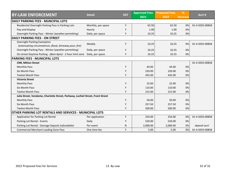|                                                                                |                    | <b>HST</b> | <b>Approved Fees</b> | <b>Proposed Fees</b> | %               | Acct #          |
|--------------------------------------------------------------------------------|--------------------|------------|----------------------|----------------------|-----------------|-----------------|
| <b>BY-LAW ENFORCEMENT</b>                                                      | <b>Detail</b>      |            | 2021                 | 2022                 | <b>Increase</b> |                 |
| <b>DAILY PARKING FEES - MUNCIPAL LOTS</b>                                      |                    |            |                      |                      |                 |                 |
| Residential Overnight Parking Pass in Parking Lots                             | Monthly, per space | Y          | 62.50                | 62.50                | 0%              | 01-4-5035-00858 |
| Pay-and-Display                                                                | Hourly             | Y          | 1.00                 | 1.00                 | 0%              |                 |
| Overnight Parking Pass - Winter (weather permitting)                           | Daily, per space   | Υ          | 10.25                | 10.25                | 0%              |                 |
| <b>DAILY PARKING FEES - ON STREET</b>                                          |                    |            |                      |                      |                 |                 |
| Overnight Parking Exemption                                                    | Weekly             | Y          | 10.25                | 10.25                | 0%              | 01-4-5035-00858 |
| (extenuating circumstances: flood, driveway pour, fire)                        |                    |            |                      |                      |                 |                 |
| Overnight Parking Pass - Winter (weather permitting)                           | Daily, per space   | Υ          | 10.25                | 10.25                | 0%              |                 |
| On-street Daytime Parking - (8am-6pm) - 2 hour limit zone                      | Daily, per space   | Υ          | 10.25                | 10.25                | 0%              |                 |
| <b>PARKING FEES - MUNICIPAL LOTS</b>                                           |                    |            |                      |                      |                 |                 |
| <b>CNR, Mitton Street</b>                                                      |                    |            |                      |                      |                 | 01-4-5035-00858 |
| <b>Monthly Pass</b>                                                            |                    | Y          | 44.00                | 44.00                | 0%              |                 |
| <b>Six Month Pass</b>                                                          |                    | Y          | 220.00               | 220.00               | 0%              |                 |
| <b>Twelve Month Pass</b>                                                       |                    | Y          | 435.00               | 435.00               | 0%              |                 |
| <b>Victoria Street</b>                                                         |                    |            |                      |                      |                 |                 |
| <b>Monthly Pass</b>                                                            |                    | Y          | 22.00                | 22.00                | 0%              |                 |
| <b>Six Month Pass</b>                                                          |                    | Y          | 110.00               | 110.00               | 0%              |                 |
| <b>Twelve Month Pass</b>                                                       |                    | Y          | 215.00               | 215.00               | 0%              |                 |
| Julia Street, Vendome, Charlotte Street, Parkway, Lochiel Street, Front Street |                    |            |                      |                      |                 |                 |
| <b>Monthly Pass</b>                                                            |                    | Y          | 50.00                | 50.00                | 0%              |                 |
| Six Month Pass                                                                 |                    | Y          | 257.50               | 257.50               | 0%              |                 |
| <b>Twelve Month Pass</b>                                                       |                    | Y          | 500.00               | 500.00               | 0%              |                 |
| OTHER PARKING LOT RENTALS AND SERVICES - MUNICIPAL LOTS                        |                    |            |                      |                      |                 |                 |
| Application for Parking Lot Rental                                             | Per application    | Y          | 254.00               | 254.00               | 0%              | 01-4-5035-00858 |
| Parking Lot Rental - Events                                                    | Daily              | Y          | 520.00               | 520.00               | 0%              |                 |
| Parking Lot Rental - Damage Deposit (refundable)                               | Per event          | ${\sf N}$  | 2,000.00             | 2,000.00             | 0%              | deposit acct    |
| <b>Commercial Merchant Loading Zone Pass</b>                                   | One time fee       | Υ          | 5.00                 | 5.00                 | 0%              | 01-4-5035-00858 |